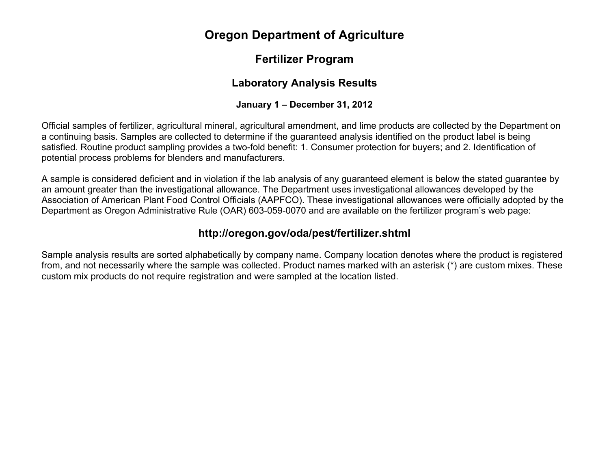# **Oregon Department of Agriculture**

## **Fertilizer Program**

## **Laboratory Analysis Results**

### **January 1 – December 31, 2012**

Official samples of fertilizer, agricultural mineral, agricultural amendment, and lime products are collected by the Department on a continuing basis. Samples are collected to determine if the guaranteed analysis identified on the product label is being satisfied. Routine product sampling provides a two-fold benefit: 1. Consumer protection for buyers; and 2. Identification of potential process problems for blenders and manufacturers.

A sample is considered deficient and in violation if the lab analysis of any guaranteed element is below the stated guarantee by an amount greater than the investigational allowance. The Department uses investigational allowances developed by the Association of American Plant Food Control Officials (AAPFCO). These investigational allowances were officially adopted by the Department as Oregon Administrative Rule (OAR) 603-059-0070 and are available on the fertilizer program's web page:

## **http://oregon.gov/oda/pest/fertilizer.shtml**

Sample analysis results are sorted alphabetically by company name. Company location denotes where the product is registered from, and not necessarily where the sample was collected. Product names marked with an asterisk (\*) are custom mixes. These custom mix products do not require registration and were sampled at the location listed.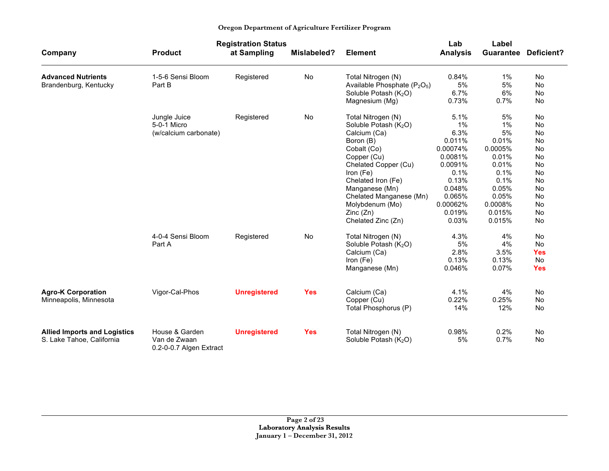| Oregon Department of Agriculture Fertilizer Program |  |  |  |  |  |
|-----------------------------------------------------|--|--|--|--|--|
|-----------------------------------------------------|--|--|--|--|--|

|                                     |                                         | <b>Registration Status</b> |             |                                                      | Lab             | Label     |                   |
|-------------------------------------|-----------------------------------------|----------------------------|-------------|------------------------------------------------------|-----------------|-----------|-------------------|
| Company                             | <b>Product</b>                          | at Sampling                | Mislabeled? | <b>Element</b>                                       | <b>Analysis</b> | Guarantee | <b>Deficient?</b> |
| <b>Advanced Nutrients</b>           | 1-5-6 Sensi Bloom                       | Registered                 | No          | Total Nitrogen (N)                                   | 0.84%           | $1\%$     | No                |
| Brandenburg, Kentucky               | Part B                                  |                            |             | Available Phosphate (P <sub>2</sub> O <sub>5</sub> ) | 5%              | 5%        | <b>No</b>         |
|                                     |                                         |                            |             | Soluble Potash $(K_2O)$                              | 6.7%            | 6%        | No                |
|                                     |                                         |                            |             | Magnesium (Mg)                                       | 0.73%           | 0.7%      | No                |
|                                     | Jungle Juice                            | Registered                 | No          | Total Nitrogen (N)                                   | 5.1%            | 5%        | No                |
|                                     | 5-0-1 Micro                             |                            |             | Soluble Potash (K <sub>2</sub> O)                    | 1%              | $1\%$     | No                |
|                                     | (w/calcium carbonate)                   |                            |             | Calcium (Ca)                                         | 6.3%            | 5%        | No                |
|                                     |                                         |                            |             | Boron (B)                                            | 0.011%          | 0.01%     | No                |
|                                     |                                         |                            |             | Cobalt (Co)                                          | 0.00074%        | 0.0005%   | No                |
|                                     |                                         |                            |             | Copper (Cu)                                          | 0.0081%         | 0.01%     | No                |
|                                     |                                         |                            |             | Chelated Copper (Cu)                                 | 0.0091%         | 0.01%     | No                |
|                                     |                                         |                            |             | Iron (Fe)                                            | 0.1%            | 0.1%      | No                |
|                                     |                                         |                            |             | Chelated Iron (Fe)                                   | 0.13%           | 0.1%      | No                |
|                                     |                                         |                            |             | Manganese (Mn)                                       | 0.048%          | 0.05%     | No                |
|                                     |                                         |                            |             | Chelated Manganese (Mn)                              | 0.065%          | 0.05%     | No                |
|                                     |                                         |                            |             | Molybdenum (Mo)                                      | 0.00062%        | 0.0008%   | No                |
|                                     |                                         |                            |             | Zinc(Zn)                                             | 0.019%          | 0.015%    | No                |
|                                     |                                         |                            |             | Chelated Zinc (Zn)                                   | 0.03%           | 0.015%    | No                |
|                                     | 4-0-4 Sensi Bloom                       | Registered                 | No          | Total Nitrogen (N)                                   | 4.3%            | 4%        | No                |
|                                     | Part A                                  |                            |             | Soluble Potash (K <sub>2</sub> O)                    | 5%              | 4%        | No                |
|                                     |                                         |                            |             | Calcium (Ca)                                         | 2.8%            | 3.5%      | <b>Yes</b>        |
|                                     |                                         |                            |             | Iron (Fe)                                            | 0.13%           | 0.13%     | No                |
|                                     |                                         |                            |             | Manganese (Mn)                                       | 0.046%          | 0.07%     | <b>Yes</b>        |
| <b>Agro-K Corporation</b>           | Vigor-Cal-Phos                          | <b>Unregistered</b>        | <b>Yes</b>  | Calcium (Ca)                                         | 4.1%            | 4%        | No                |
| Minneapolis, Minnesota              |                                         |                            |             | Copper (Cu)                                          | 0.22%           | 0.25%     | No                |
|                                     |                                         |                            |             | Total Phosphorus (P)                                 | 14%             | 12%       | <b>No</b>         |
|                                     |                                         |                            |             |                                                      |                 |           |                   |
| <b>Allied Imports and Logistics</b> | House & Garden                          | <b>Unregistered</b>        | <b>Yes</b>  | Total Nitrogen (N)                                   | 0.98%           | 0.2%      | No                |
| S. Lake Tahoe, California           | Van de Zwaan<br>0.2-0-0.7 Algen Extract |                            |             | Soluble Potash (K <sub>2</sub> O)                    | 5%              | 0.7%      | No                |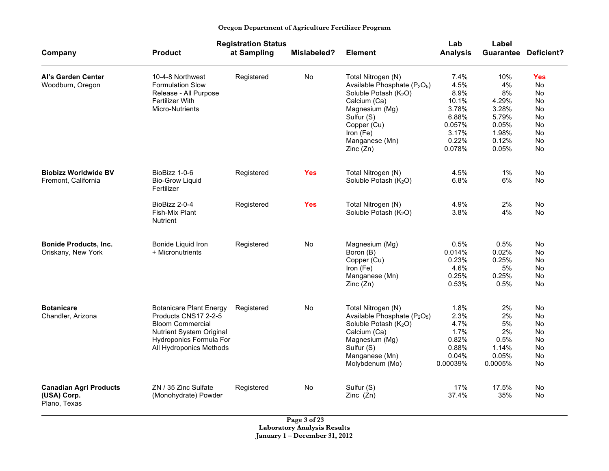|                                                              |                                                                                                                                                                     | <b>Registration Status</b> |             |                                                                                                                                                                                                                            | Lab                                                                                   | Label                                                                          |                                                                     |
|--------------------------------------------------------------|---------------------------------------------------------------------------------------------------------------------------------------------------------------------|----------------------------|-------------|----------------------------------------------------------------------------------------------------------------------------------------------------------------------------------------------------------------------------|---------------------------------------------------------------------------------------|--------------------------------------------------------------------------------|---------------------------------------------------------------------|
| Company                                                      | <b>Product</b>                                                                                                                                                      | at Sampling                | Mislabeled? | <b>Element</b>                                                                                                                                                                                                             | <b>Analysis</b>                                                                       |                                                                                | <b>Guarantee Deficient?</b>                                         |
| <b>Al's Garden Center</b><br>Woodburn, Oregon                | 10-4-8 Northwest<br><b>Formulation Slow</b><br>Release - All Purpose<br>Fertilizer With<br>Micro-Nutrients                                                          | Registered                 | No          | Total Nitrogen (N)<br>Available Phosphate (P <sub>2</sub> O <sub>5</sub> )<br>Soluble Potash (K <sub>2</sub> O)<br>Calcium (Ca)<br>Magnesium (Mg)<br>Sulfur (S)<br>Copper (Cu)<br>Iron (Fe)<br>Manganese (Mn)<br>Zinc (Zn) | 7.4%<br>4.5%<br>8.9%<br>10.1%<br>3.78%<br>6.88%<br>0.057%<br>3.17%<br>0.22%<br>0.078% | 10%<br>4%<br>8%<br>4.29%<br>3.28%<br>5.79%<br>0.05%<br>1.98%<br>0.12%<br>0.05% | <b>Yes</b><br>No.<br>No.<br>No<br>No<br>No<br>No<br>No.<br>No<br>No |
| <b>Biobizz Worldwide BV</b><br>Fremont, California           | BioBizz 1-0-6<br><b>Bio-Grow Liguid</b><br>Fertilizer                                                                                                               | Registered                 | <b>Yes</b>  | Total Nitrogen (N)<br>Soluble Potash (K <sub>2</sub> O)                                                                                                                                                                    | 4.5%<br>6.8%                                                                          | $1\%$<br>6%                                                                    | No<br>No                                                            |
|                                                              | BioBizz 2-0-4<br>Fish-Mix Plant<br><b>Nutrient</b>                                                                                                                  | Registered                 | <b>Yes</b>  | Total Nitrogen (N)<br>Soluble Potash (K <sub>2</sub> O)                                                                                                                                                                    | 4.9%<br>3.8%                                                                          | 2%<br>4%                                                                       | No<br><b>No</b>                                                     |
| <b>Bonide Products, Inc.</b><br>Oriskany, New York           | Bonide Liquid Iron<br>+ Micronutrients                                                                                                                              | Registered                 | No          | Magnesium (Mg)<br>Boron (B)<br>Copper (Cu)<br>Iron (Fe)<br>Manganese (Mn)<br>Zinc(Zn)                                                                                                                                      | $0.5\%$<br>0.014%<br>0.23%<br>4.6%<br>0.25%<br>0.53%                                  | 0.5%<br>0.02%<br>0.25%<br>5%<br>0.25%<br>0.5%                                  | No<br>No<br>No<br>No<br>No<br>No                                    |
| <b>Botanicare</b><br>Chandler, Arizona                       | <b>Botanicare Plant Energy</b><br>Products CNS17 2-2-5<br><b>Bloom Commercial</b><br>Nutrient System Original<br>Hydroponics Formula For<br>All Hydroponics Methods | Registered                 | No          | Total Nitrogen (N)<br>Available Phosphate (P <sub>2</sub> O <sub>5</sub> )<br>Soluble Potash (K <sub>2</sub> O)<br>Calcium (Ca)<br>Magnesium (Mg)<br>Sulfur (S)<br>Manganese (Mn)<br>Molybdenum (Mo)                       | 1.8%<br>2.3%<br>4.7%<br>1.7%<br>0.82%<br>0.88%<br>0.04%<br>0.00039%                   | 2%<br>2%<br>5%<br>2%<br>0.5%<br>1.14%<br>0.05%<br>0.0005%                      | No<br>No<br>No<br>No<br>No<br>No<br>No<br>No                        |
| <b>Canadian Agri Products</b><br>(USA) Corp.<br>Plano, Texas | ZN / 35 Zinc Sulfate<br>(Monohydrate) Powder                                                                                                                        | Registered                 | No          | Sulfur (S)<br>Zinc $(Zn)$                                                                                                                                                                                                  | 17%<br>37.4%                                                                          | 17.5%<br>35%                                                                   | No<br>No                                                            |

**Page 3 of 23 Laboratory Analysis Results January 1 – December 31, 2012**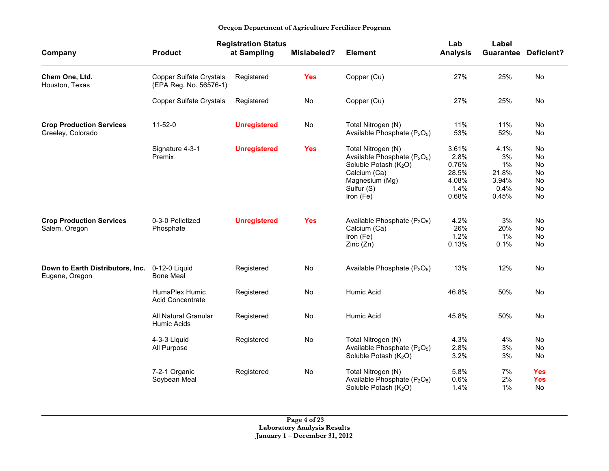| Company                                              | <b>Product</b>                                           | <b>Registration Status</b><br>at Sampling | Mislabeled? | <b>Element</b>                                                                                                                                                               | Lab<br><b>Analysis</b>                                    | Label<br><b>Guarantee</b>                           | <b>Deficient?</b>                                           |
|------------------------------------------------------|----------------------------------------------------------|-------------------------------------------|-------------|------------------------------------------------------------------------------------------------------------------------------------------------------------------------------|-----------------------------------------------------------|-----------------------------------------------------|-------------------------------------------------------------|
| Chem One, Ltd.<br>Houston, Texas                     | <b>Copper Sulfate Crystals</b><br>(EPA Reg. No. 56576-1) | Registered                                | <b>Yes</b>  | Copper (Cu)                                                                                                                                                                  | 27%                                                       | 25%                                                 | No                                                          |
|                                                      | <b>Copper Sulfate Crystals</b>                           | Registered                                | No          | Copper (Cu)                                                                                                                                                                  | 27%                                                       | 25%                                                 | No                                                          |
| <b>Crop Production Services</b><br>Greeley, Colorado | $11 - 52 - 0$                                            | <b>Unregistered</b>                       | No          | Total Nitrogen (N)<br>Available Phosphate (P <sub>2</sub> O <sub>5</sub> )                                                                                                   | 11%<br>53%                                                | 11%<br>52%                                          | No.<br>No                                                   |
|                                                      | Signature 4-3-1<br>Premix                                | <b>Unregistered</b>                       | <b>Yes</b>  | Total Nitrogen (N)<br>Available Phosphate (P <sub>2</sub> O <sub>5</sub> )<br>Soluble Potash (K <sub>2</sub> O)<br>Calcium (Ca)<br>Magnesium (Mg)<br>Sulfur (S)<br>Iron (Fe) | 3.61%<br>2.8%<br>0.76%<br>28.5%<br>4.08%<br>1.4%<br>0.68% | 4.1%<br>3%<br>1%<br>21.8%<br>3.94%<br>0.4%<br>0.45% | <b>No</b><br>No<br>No<br><b>No</b><br>No<br>No<br><b>No</b> |
| <b>Crop Production Services</b><br>Salem, Oregon     | 0-3-0 Pelletized<br>Phosphate                            | <b>Unregistered</b>                       | <b>Yes</b>  | Available Phosphate (P <sub>2</sub> O <sub>5</sub> )<br>Calcium (Ca)<br>Iron (Fe)<br>Zinc(Zn)                                                                                | 4.2%<br>26%<br>1.2%<br>0.13%                              | 3%<br>20%<br>$1\%$<br>0.1%                          | No<br>No<br><b>No</b><br>No                                 |
| Down to Earth Distributors, Inc.<br>Eugene, Oregon   | 0-12-0 Liquid<br><b>Bone Meal</b>                        | Registered                                | No          | Available Phosphate $(P_2O_5)$                                                                                                                                               | 13%                                                       | 12%                                                 | No                                                          |
|                                                      | HumaPlex Humic<br>Acid Concentrate                       | Registered                                | No          | Humic Acid                                                                                                                                                                   | 46.8%                                                     | 50%                                                 | <b>No</b>                                                   |
|                                                      | All Natural Granular<br>Humic Acids                      | Registered                                | No          | Humic Acid                                                                                                                                                                   | 45.8%                                                     | 50%                                                 | No                                                          |
|                                                      | 4-3-3 Liquid<br>All Purpose                              | Registered                                | No          | Total Nitrogen (N)<br>Available Phosphate (P <sub>2</sub> O <sub>5</sub> )<br>Soluble Potash (K <sub>2</sub> O)                                                              | 4.3%<br>2.8%<br>3.2%                                      | 4%<br>3%<br>3%                                      | No<br>No<br><b>No</b>                                       |
|                                                      | 7-2-1 Organic<br>Soybean Meal                            | Registered                                | No          | Total Nitrogen (N)<br>Available Phosphate (P <sub>2</sub> O <sub>5</sub> )<br>Soluble Potash (K <sub>2</sub> O)                                                              | 5.8%<br>0.6%<br>1.4%                                      | 7%<br>2%<br>$1\%$                                   | <b>Yes</b><br><b>Yes</b><br>No                              |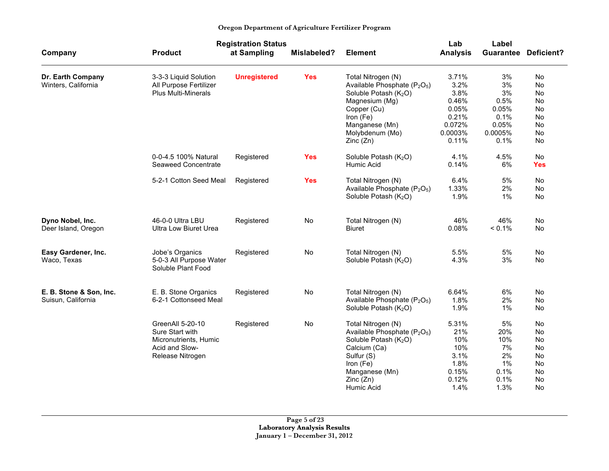| Oregon Department of Agriculture Fertilizer Program |  |  |  |  |  |
|-----------------------------------------------------|--|--|--|--|--|
|-----------------------------------------------------|--|--|--|--|--|

|                         |                                               | <b>Registration Status</b> |             |                                                      | Lab             | Label            |                   |
|-------------------------|-----------------------------------------------|----------------------------|-------------|------------------------------------------------------|-----------------|------------------|-------------------|
| Company                 | <b>Product</b>                                | at Sampling                | Mislabeled? | <b>Element</b>                                       | <b>Analysis</b> | <b>Guarantee</b> | <b>Deficient?</b> |
| Dr. Earth Company       | 3-3-3 Liquid Solution                         | <b>Unregistered</b>        | <b>Yes</b>  | Total Nitrogen (N)                                   | 3.71%           | 3%               | No                |
| Winters, California     | All Purpose Fertilizer                        |                            |             | Available Phosphate (P <sub>2</sub> O <sub>5</sub> ) | 3.2%            | 3%               | <b>No</b>         |
|                         | <b>Plus Multi-Minerals</b>                    |                            |             | Soluble Potash (K <sub>2</sub> O)                    | 3.8%            | 3%               | No                |
|                         |                                               |                            |             | Magnesium (Mg)                                       | 0.46%           | 0.5%             | No                |
|                         |                                               |                            |             | Copper (Cu)                                          | 0.05%           | 0.05%            | No                |
|                         |                                               |                            |             | Iron (Fe)                                            | 0.21%           | 0.1%             | No                |
|                         |                                               |                            |             | Manganese (Mn)                                       | 0.072%          | 0.05%            | No                |
|                         |                                               |                            |             | Molybdenum (Mo)                                      | 0.0003%         | 0.0005%          | No                |
|                         |                                               |                            |             | Zinc(Zn)                                             | 0.11%           | 0.1%             | No                |
|                         | 0-0-4.5 100% Natural                          | Registered                 | <b>Yes</b>  | Soluble Potash $(K_2O)$                              | 4.1%            | 4.5%             | No                |
|                         | Seaweed Concentrate                           |                            |             | Humic Acid                                           | 0.14%           | 6%               | <b>Yes</b>        |
|                         | 5-2-1 Cotton Seed Meal                        | Registered                 | <b>Yes</b>  | Total Nitrogen (N)                                   | 6.4%            | 5%               | No                |
|                         |                                               |                            |             | Available Phosphate (P <sub>2</sub> O <sub>5</sub> ) | 1.33%           | 2%               | No                |
|                         |                                               |                            |             | Soluble Potash (K <sub>2</sub> O)                    | 1.9%            | $1\%$            | No                |
|                         |                                               |                            |             |                                                      |                 |                  |                   |
| Dyno Nobel, Inc.        | 46-0-0 Ultra LBU                              | Registered                 | No          | Total Nitrogen (N)                                   | 46%             | 46%              | <b>No</b>         |
| Deer Island, Oregon     | <b>Ultra Low Biuret Urea</b>                  |                            |             | <b>Biuret</b>                                        | 0.08%           | $< 0.1\%$        | No                |
| Easy Gardener, Inc.     | Jobe's Organics                               | Registered                 | No          | Total Nitrogen (N)                                   | 5.5%            | 5%               | No                |
| Waco, Texas             | 5-0-3 All Purpose Water<br>Soluble Plant Food |                            |             | Soluble Potash (K <sub>2</sub> O)                    | 4.3%            | 3%               | No                |
| E. B. Stone & Son, Inc. | E. B. Stone Organics                          | Registered                 | <b>No</b>   | Total Nitrogen (N)                                   | 6.64%           | 6%               | No                |
| Suisun, California      | 6-2-1 Cottonseed Meal                         |                            |             | Available Phosphate (P <sub>2</sub> O <sub>5</sub> ) | 1.8%            | 2%               | No                |
|                         |                                               |                            |             | Soluble Potash (K <sub>2</sub> O)                    | 1.9%            | $1\%$            | No                |
|                         | GreenAll 5-20-10                              | Registered                 | No          | Total Nitrogen (N)                                   | 5.31%           | 5%               | No                |
|                         | Sure Start with                               |                            |             | Available Phosphate (P <sub>2</sub> O <sub>5</sub> ) | 21%             | 20%              | No                |
|                         | Micronutrients, Humic                         |                            |             | Soluble Potash (K <sub>2</sub> O)                    | 10%             | 10%              | No                |
|                         | Acid and Slow-                                |                            |             | Calcium (Ca)                                         | 10%             | 7%               | No                |
|                         | Release Nitrogen                              |                            |             | Sulfur (S)                                           | 3.1%            | 2%               | No                |
|                         |                                               |                            |             | Iron (Fe)                                            | 1.8%            | 1%               | No                |
|                         |                                               |                            |             | Manganese (Mn)                                       | 0.15%           | 0.1%             | No                |
|                         |                                               |                            |             | Zinc(Zn)                                             | 0.12%           | 0.1%             | No                |
|                         |                                               |                            |             | Humic Acid                                           | 1.4%            | 1.3%             | No                |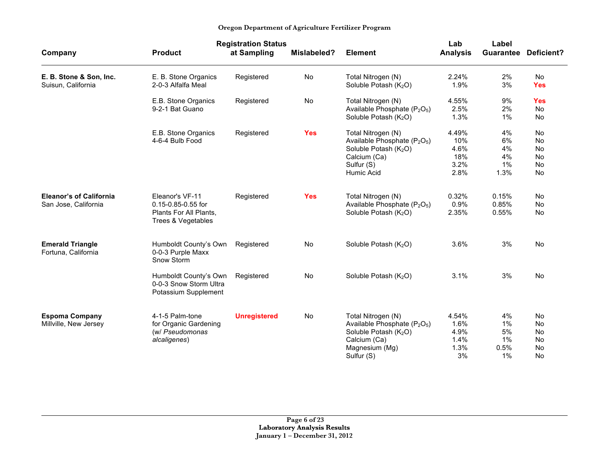|                                                        |                                                                                       | <b>Registration Status</b> |             |                                                                                                                                                                 | Lab                                         | Label                              |                                                |
|--------------------------------------------------------|---------------------------------------------------------------------------------------|----------------------------|-------------|-----------------------------------------------------------------------------------------------------------------------------------------------------------------|---------------------------------------------|------------------------------------|------------------------------------------------|
| Company                                                | <b>Product</b>                                                                        | at Sampling                | Mislabeled? | <b>Element</b>                                                                                                                                                  | <b>Analysis</b>                             | <b>Guarantee</b>                   | Deficient?                                     |
| E. B. Stone & Son, Inc.<br>Suisun, California          | E. B. Stone Organics<br>2-0-3 Alfalfa Meal                                            | Registered                 | <b>No</b>   | Total Nitrogen (N)<br>Soluble Potash $(K_2O)$                                                                                                                   | 2.24%<br>1.9%                               | 2%<br>3%                           | <b>No</b><br><b>Yes</b>                        |
|                                                        | E.B. Stone Organics<br>9-2-1 Bat Guano                                                | Registered                 | No          | Total Nitrogen (N)<br>Available Phosphate (P <sub>2</sub> O <sub>5</sub> )<br>Soluble Potash $(K_2O)$                                                           | 4.55%<br>2.5%<br>1.3%                       | 9%<br>2%<br>$1\%$                  | <b>Yes</b><br><b>No</b><br>No                  |
|                                                        | E.B. Stone Organics<br>4-6-4 Bulb Food                                                | Registered                 | <b>Yes</b>  | Total Nitrogen (N)<br>Available Phosphate (P <sub>2</sub> O <sub>5</sub> )<br>Soluble Potash (K <sub>2</sub> O)<br>Calcium (Ca)<br>Sulfur (S)<br>Humic Acid     | 4.49%<br>10%<br>4.6%<br>18%<br>3.2%<br>2.8% | 4%<br>6%<br>4%<br>4%<br>1%<br>1.3% | No<br><b>No</b><br>No<br>No<br>No<br>No        |
| <b>Eleanor's of California</b><br>San Jose, California | Eleanor's VF-11<br>0.15-0.85-0.55 for<br>Plants For All Plants,<br>Trees & Vegetables | Registered                 | <b>Yes</b>  | Total Nitrogen (N)<br>Available Phosphate (P <sub>2</sub> O <sub>5</sub> )<br>Soluble Potash $(K_2O)$                                                           | 0.32%<br>0.9%<br>2.35%                      | 0.15%<br>0.85%<br>0.55%            | <b>No</b><br><b>No</b><br><b>No</b>            |
| <b>Emerald Triangle</b><br>Fortuna, California         | Humboldt County's Own<br>0-0-3 Purple Maxx<br>Snow Storm                              | Registered                 | <b>No</b>   | Soluble Potash $(K_2O)$                                                                                                                                         | 3.6%                                        | 3%                                 | <b>No</b>                                      |
|                                                        | Humboldt County's Own<br>0-0-3 Snow Storm Ultra<br>Potassium Supplement               | Registered                 | No          | Soluble Potash (K <sub>2</sub> O)                                                                                                                               | 3.1%                                        | 3%                                 | <b>No</b>                                      |
| <b>Espoma Company</b><br>Millville, New Jersey         | 4-1-5 Palm-tone<br>for Organic Gardening<br>(w/ Pseudomonas<br>alcaligenes)           | <b>Unregistered</b>        | No          | Total Nitrogen (N)<br>Available Phosphate (P <sub>2</sub> O <sub>5</sub> )<br>Soluble Potash (K <sub>2</sub> O)<br>Calcium (Ca)<br>Magnesium (Mg)<br>Sulfur (S) | 4.54%<br>1.6%<br>4.9%<br>1.4%<br>1.3%<br>3% | 4%<br>1%<br>5%<br>1%<br>0.5%<br>1% | No<br><b>No</b><br>No<br>No<br><b>No</b><br>No |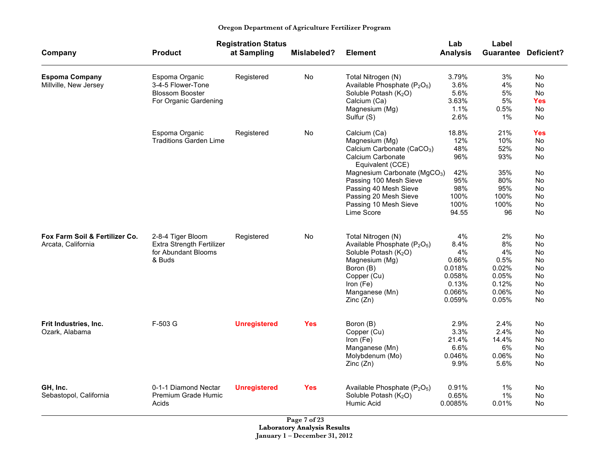|  | Oregon Department of Agriculture Fertilizer Program |  |
|--|-----------------------------------------------------|--|
|  |                                                     |  |

|                                |                               | <b>Registration Status</b> |             |                                                      | Lab             | Label |                             |
|--------------------------------|-------------------------------|----------------------------|-------------|------------------------------------------------------|-----------------|-------|-----------------------------|
| Company                        | <b>Product</b>                | at Sampling                | Mislabeled? | <b>Element</b>                                       | <b>Analysis</b> |       | <b>Guarantee Deficient?</b> |
| <b>Espoma Company</b>          | Espoma Organic                | Registered                 | No          | Total Nitrogen (N)                                   | 3.79%           | 3%    | No                          |
| Millville, New Jersey          | 3-4-5 Flower-Tone             |                            |             | Available Phosphate (P <sub>2</sub> O <sub>5</sub> ) | 3.6%            | 4%    | No                          |
|                                | <b>Blossom Booster</b>        |                            |             | Soluble Potash (K <sub>2</sub> O)                    | 5.6%            | 5%    | No                          |
|                                | For Organic Gardening         |                            |             | Calcium (Ca)                                         | 3.63%           | 5%    | Yes                         |
|                                |                               |                            |             | Magnesium (Mg)                                       | 1.1%            | 0.5%  | No                          |
|                                |                               |                            |             | Sulfur (S)                                           | 2.6%            | 1%    | No                          |
|                                | Espoma Organic                | Registered                 | No          | Calcium (Ca)                                         | 18.8%           | 21%   | Yes                         |
|                                | <b>Traditions Garden Lime</b> |                            |             | Magnesium (Mg)                                       | 12%             | 10%   | No                          |
|                                |                               |                            |             | Calcium Carbonate (CaCO <sub>3</sub> )               | 48%             | 52%   | No                          |
|                                |                               |                            |             | Calcium Carbonate<br>Equivalent (CCE)                | 96%             | 93%   | No                          |
|                                |                               |                            |             | Magnesium Carbonate (MgCO <sub>3</sub> )             | 42%             | 35%   | No                          |
|                                |                               |                            |             | Passing 100 Mesh Sieve                               | 95%             | 80%   | No                          |
|                                |                               |                            |             | Passing 40 Mesh Sieve                                | 98%             | 95%   | No                          |
|                                |                               |                            |             | Passing 20 Mesh Sieve                                | 100%            | 100%  | No                          |
|                                |                               |                            |             | Passing 10 Mesh Sieve                                | 100%            | 100%  | No                          |
|                                |                               |                            |             | Lime Score                                           | 94.55           | 96    | No                          |
| Fox Farm Soil & Fertilizer Co. | 2-8-4 Tiger Bloom             | Registered                 | No          | Total Nitrogen (N)                                   | 4%              | 2%    | No                          |
| Arcata, California             | Extra Strength Fertilizer     |                            |             | Available Phosphate (P <sub>2</sub> O <sub>5</sub> ) | 8.4%            | 8%    | No                          |
|                                | for Abundant Blooms           |                            |             | Soluble Potash $(K_2O)$                              | 4%              | 4%    | No                          |
|                                | & Buds                        |                            |             | Magnesium (Mg)                                       | 0.66%           | 0.5%  | No                          |
|                                |                               |                            |             | Boron (B)                                            | 0.018%          | 0.02% | No                          |
|                                |                               |                            |             | Copper (Cu)                                          | 0.058%          | 0.05% | No                          |
|                                |                               |                            |             | Iron (Fe)                                            | 0.13%           | 0.12% | No                          |
|                                |                               |                            |             | Manganese (Mn)                                       | 0.066%          | 0.06% | No                          |
|                                |                               |                            |             | Zinc(Zn)                                             | 0.059%          | 0.05% | No                          |
| Frit Industries, Inc.          | F-503 G                       | <b>Unregistered</b>        | <b>Yes</b>  | Boron (B)                                            | 2.9%            | 2.4%  | No                          |
| Ozark, Alabama                 |                               |                            |             | Copper (Cu)                                          | 3.3%            | 2.4%  | No                          |
|                                |                               |                            |             | Iron (Fe)                                            | 21.4%           | 14.4% | No                          |
|                                |                               |                            |             | Manganese (Mn)                                       | 6.6%            | 6%    | No                          |
|                                |                               |                            |             | Molybdenum (Mo)                                      | 0.046%          | 0.06% | No                          |
|                                |                               |                            |             | Zinc(Zn)                                             | 9.9%            | 5.6%  | No                          |
|                                |                               |                            |             |                                                      |                 |       |                             |
| GH, Inc.                       | 0-1-1 Diamond Nectar          | <b>Unregistered</b>        | <b>Yes</b>  | Available Phosphate (P <sub>2</sub> O <sub>5</sub> ) | 0.91%           | 1%    | No                          |
| Sebastopol, California         | Premium Grade Humic           |                            |             | Soluble Potash (K <sub>2</sub> O)                    | 0.65%           | $1\%$ | No                          |
|                                | Acids                         |                            |             | Humic Acid                                           | 0.0085%         | 0.01% | No                          |

**Page 7 of 23 Laboratory Analysis Results January 1 – December 31, 2012**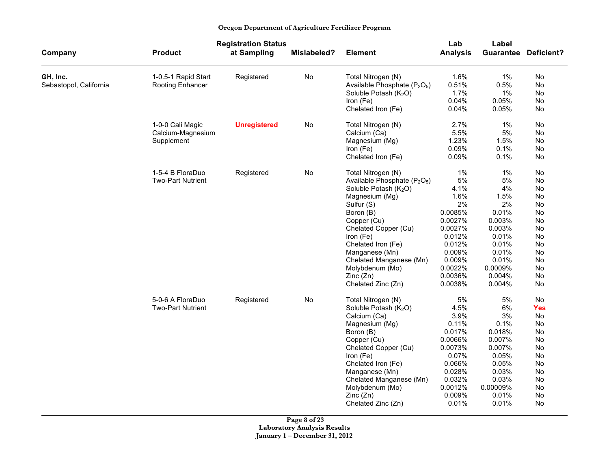|  | Oregon Department of Agriculture Fertilizer Program |  |
|--|-----------------------------------------------------|--|
|  |                                                     |  |

|                        |                          | <b>Registration Status</b> |             | Lab<br>Label                                         |                 |           |            |
|------------------------|--------------------------|----------------------------|-------------|------------------------------------------------------|-----------------|-----------|------------|
| Company                | <b>Product</b>           | at Sampling                | Mislabeled? | <b>Element</b>                                       | <b>Analysis</b> | Guarantee | Deficient? |
| GH, Inc.               | 1-0.5-1 Rapid Start      | Registered                 | No          | Total Nitrogen (N)                                   | 1.6%            | 1%        | No         |
| Sebastopol, California | Rooting Enhancer         |                            |             | Available Phosphate (P <sub>2</sub> O <sub>5</sub> ) | 0.51%           | 0.5%      | No         |
|                        |                          |                            |             | Soluble Potash (K <sub>2</sub> O)                    | 1.7%            | 1%        | No         |
|                        |                          |                            |             | Iron (Fe)                                            | 0.04%           | 0.05%     | No         |
|                        |                          |                            |             | Chelated Iron (Fe)                                   | 0.04%           | 0.05%     | No         |
|                        | 1-0-0 Cali Magic         | <b>Unregistered</b>        | No          | Total Nitrogen (N)                                   | 2.7%            | $1\%$     | No         |
|                        | Calcium-Magnesium        |                            |             | Calcium (Ca)                                         | 5.5%            | 5%        | No         |
|                        | Supplement               |                            |             | Magnesium (Mg)                                       | 1.23%           | 1.5%      | No         |
|                        |                          |                            |             | Iron (Fe)                                            | 0.09%           | 0.1%      | No         |
|                        |                          |                            |             | Chelated Iron (Fe)                                   | 0.09%           | 0.1%      | No         |
|                        | 1-5-4 B FloraDuo         | Registered                 | No          | Total Nitrogen (N)                                   | $1\%$           | $1\%$     | No         |
|                        | <b>Two-Part Nutrient</b> |                            |             | Available Phosphate (P <sub>2</sub> O <sub>5</sub> ) | 5%              | 5%        | No         |
|                        |                          |                            |             | Soluble Potash (K <sub>2</sub> O)                    | 4.1%            | 4%        | No         |
|                        |                          |                            |             | Magnesium (Mg)                                       | 1.6%            | 1.5%      | No         |
|                        |                          |                            |             | Sulfur (S)                                           | 2%              | 2%        | No         |
|                        |                          |                            |             | Boron (B)                                            | 0.0085%         | 0.01%     | No         |
|                        |                          |                            |             | Copper (Cu)                                          | 0.0027%         | 0.003%    | No         |
|                        |                          |                            |             | Chelated Copper (Cu)                                 | 0.0027%         | 0.003%    | No         |
|                        |                          |                            |             | Iron (Fe)                                            | 0.012%          | 0.01%     | No         |
|                        |                          |                            |             | Chelated Iron (Fe)                                   | 0.012%          | 0.01%     | No         |
|                        |                          |                            |             | Manganese (Mn)                                       | 0.009%          | 0.01%     | No         |
|                        |                          |                            |             | Chelated Manganese (Mn)                              | 0.009%          | 0.01%     | No         |
|                        |                          |                            |             | Molybdenum (Mo)                                      | 0.0022%         | 0.0009%   | No         |
|                        |                          |                            |             | Zinc (Zn)                                            | 0.0036%         | 0.004%    | No         |
|                        |                          |                            |             | Chelated Zinc (Zn)                                   | 0.0038%         | 0.004%    | No         |
|                        | 5-0-6 A FloraDuo         | Registered                 | No          | Total Nitrogen (N)                                   | 5%              | 5%        | No         |
|                        | <b>Two-Part Nutrient</b> |                            |             | Soluble Potash (K <sub>2</sub> O)                    | 4.5%            | 6%        | Yes        |
|                        |                          |                            |             | Calcium (Ca)                                         | 3.9%            | 3%        | No         |
|                        |                          |                            |             | Magnesium (Mg)                                       | 0.11%           | 0.1%      | No         |
|                        |                          |                            |             | Boron (B)                                            | 0.017%          | 0.018%    | No         |
|                        |                          |                            |             | Copper (Cu)                                          | 0.0066%         | 0.007%    | No         |
|                        |                          |                            |             | Chelated Copper (Cu)                                 | 0.0073%         | 0.007%    | No         |
|                        |                          |                            |             | Iron (Fe)                                            | 0.07%           | 0.05%     | No         |
|                        |                          |                            |             | Chelated Iron (Fe)                                   | 0.066%          | 0.05%     | No         |
|                        |                          |                            |             | Manganese (Mn)                                       | 0.028%          | 0.03%     | No         |
|                        |                          |                            |             | Chelated Manganese (Mn)                              | 0.032%          | 0.03%     | No         |
|                        |                          |                            |             | Molybdenum (Mo)                                      | 0.0012%         | 0.00009%  | No         |
|                        |                          |                            |             | Zinc (Zn)                                            | 0.009%          | 0.01%     | No         |
|                        |                          |                            |             | Chelated Zinc (Zn)                                   | 0.01%           | 0.01%     | No         |

**Page 8 of 23 Laboratory Analysis Results January 1 – December 31, 2012**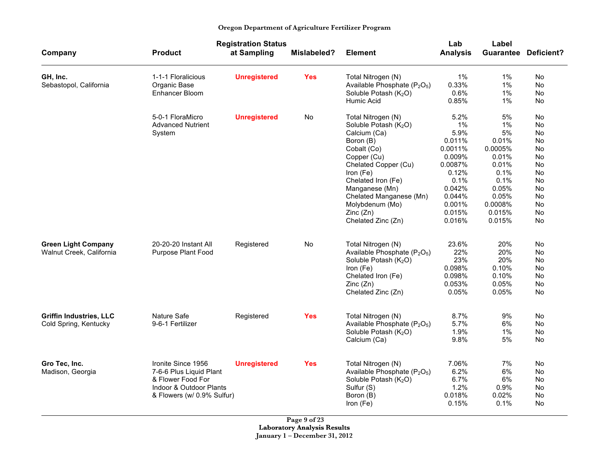|                                                         |                                                                                                                             | <b>Registration Status</b> |                    |                                                                                                                                                                                                                                                                                  | Lab                                                                                                                             | Label                                                                                                                 |                                                                                                 |
|---------------------------------------------------------|-----------------------------------------------------------------------------------------------------------------------------|----------------------------|--------------------|----------------------------------------------------------------------------------------------------------------------------------------------------------------------------------------------------------------------------------------------------------------------------------|---------------------------------------------------------------------------------------------------------------------------------|-----------------------------------------------------------------------------------------------------------------------|-------------------------------------------------------------------------------------------------|
| Company                                                 | <b>Product</b>                                                                                                              | at Sampling                | <b>Mislabeled?</b> | <b>Element</b>                                                                                                                                                                                                                                                                   | <b>Analysis</b>                                                                                                                 |                                                                                                                       | <b>Guarantee Deficient?</b>                                                                     |
| GH, Inc.<br>Sebastopol, California                      | 1-1-1 Floralicious<br>Organic Base<br>Enhancer Bloom                                                                        | <b>Unregistered</b>        | <b>Yes</b>         | Total Nitrogen (N)<br>Available Phosphate (P <sub>2</sub> O <sub>5</sub> )<br>Soluble Potash (K <sub>2</sub> O)<br>Humic Acid                                                                                                                                                    | $1\%$<br>0.33%<br>0.6%<br>0.85%                                                                                                 | $1\%$<br>1%<br>1%<br>$1\%$                                                                                            | No.<br>No<br>No<br>No                                                                           |
|                                                         | 5-0-1 FloraMicro<br><b>Advanced Nutrient</b><br>System                                                                      | <b>Unregistered</b>        | No                 | Total Nitrogen (N)<br>Soluble Potash (K <sub>2</sub> O)<br>Calcium (Ca)<br>Boron (B)<br>Cobalt (Co)<br>Copper (Cu)<br>Chelated Copper (Cu)<br>Iron (Fe)<br>Chelated Iron (Fe)<br>Manganese (Mn)<br>Chelated Manganese (Mn)<br>Molybdenum (Mo)<br>Zinc (Zn)<br>Chelated Zinc (Zn) | 5.2%<br>1%<br>5.9%<br>0.011%<br>0.0011%<br>0.009%<br>0.0087%<br>0.12%<br>0.1%<br>0.042%<br>0.044%<br>0.001%<br>0.015%<br>0.016% | 5%<br>1%<br>5%<br>0.01%<br>0.0005%<br>0.01%<br>0.01%<br>0.1%<br>0.1%<br>0.05%<br>0.05%<br>0.0008%<br>0.015%<br>0.015% | No.<br>No<br>No<br><b>No</b><br>No<br>No<br>No<br>No<br>No<br>No<br>No<br>No<br><b>No</b><br>No |
| <b>Green Light Company</b><br>Walnut Creek, California  | 20-20-20 Instant All<br>Purpose Plant Food                                                                                  | Registered                 | No                 | Total Nitrogen (N)<br>Available Phosphate (P <sub>2</sub> O <sub>5</sub> )<br>Soluble Potash (K2O)<br>Iron (Fe)<br>Chelated Iron (Fe)<br>Zinc (Zn)<br>Chelated Zinc (Zn)                                                                                                         | 23.6%<br>22%<br>23%<br>0.098%<br>0.098%<br>0.053%<br>0.05%                                                                      | 20%<br>20%<br>20%<br>0.10%<br>0.10%<br>0.05%<br>0.05%                                                                 | No<br>No.<br>No<br>No<br>No<br>No<br>No                                                         |
| <b>Griffin Industries, LLC</b><br>Cold Spring, Kentucky | Nature Safe<br>9-6-1 Fertilizer                                                                                             | Registered                 | <b>Yes</b>         | Total Nitrogen (N)<br>Available Phosphate (P <sub>2</sub> O <sub>5</sub> )<br>Soluble Potash (K <sub>2</sub> O)<br>Calcium (Ca)                                                                                                                                                  | 8.7%<br>5.7%<br>1.9%<br>9.8%                                                                                                    | 9%<br>6%<br>$1\%$<br>5%                                                                                               | No.<br>No<br>No<br><b>No</b>                                                                    |
| Gro Tec, Inc.<br>Madison, Georgia                       | Ironite Since 1956<br>7-6-6 Plus Liquid Plant<br>& Flower Food For<br>Indoor & Outdoor Plants<br>& Flowers (w/ 0.9% Sulfur) | <b>Unregistered</b>        | <b>Yes</b>         | Total Nitrogen (N)<br>Available Phosphate (P <sub>2</sub> O <sub>5</sub> )<br>Soluble Potash (K <sub>2</sub> O)<br>Sulfur (S)<br>Boron (B)<br>Iron (Fe)                                                                                                                          | 7.06%<br>6.2%<br>6.7%<br>1.2%<br>0.018%<br>0.15%                                                                                | 7%<br>6%<br>6%<br>0.9%<br>0.02%<br>0.1%                                                                               | No<br>No.<br>No<br>No<br>No<br>No                                                               |

**Page 9 of 23 Laboratory Analysis Results January 1 – December 31, 2012**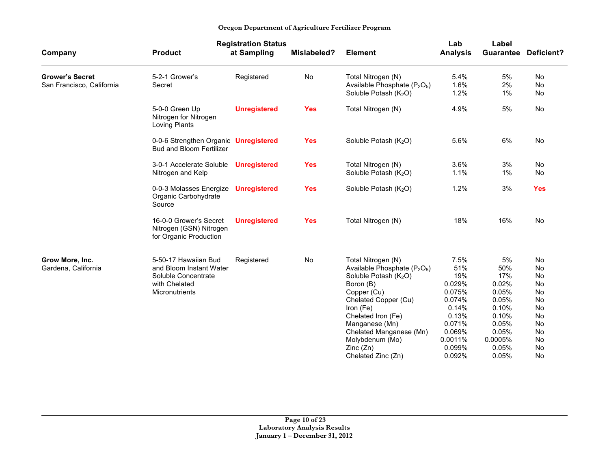|                                                     |                                                                                                           | <b>Registration Status</b> |                    |                                                                                                                                                                                                                                                                                                          | Lab                                                                                                                   | Label                                                                                                        |                                                                            |
|-----------------------------------------------------|-----------------------------------------------------------------------------------------------------------|----------------------------|--------------------|----------------------------------------------------------------------------------------------------------------------------------------------------------------------------------------------------------------------------------------------------------------------------------------------------------|-----------------------------------------------------------------------------------------------------------------------|--------------------------------------------------------------------------------------------------------------|----------------------------------------------------------------------------|
| Company                                             | <b>Product</b>                                                                                            | at Sampling                | <b>Mislabeled?</b> | <b>Element</b>                                                                                                                                                                                                                                                                                           | <b>Analysis</b>                                                                                                       | Guarantee                                                                                                    | <b>Deficient?</b>                                                          |
| <b>Grower's Secret</b><br>San Francisco, California | 5-2-1 Grower's<br>Secret                                                                                  | Registered                 | No                 | Total Nitrogen (N)<br>Available Phosphate (P <sub>2</sub> O <sub>5</sub> )<br>Soluble Potash (K <sub>2</sub> O)                                                                                                                                                                                          | 5.4%<br>1.6%<br>1.2%                                                                                                  | 5%<br>2%<br>$1\%$                                                                                            | No.<br><b>No</b><br>No                                                     |
|                                                     | 5-0-0 Green Up<br>Nitrogen for Nitrogen<br>Loving Plants                                                  | <b>Unregistered</b>        | <b>Yes</b>         | Total Nitrogen (N)                                                                                                                                                                                                                                                                                       | 4.9%                                                                                                                  | 5%                                                                                                           | <b>No</b>                                                                  |
|                                                     | 0-0-6 Strengthen Organic Unregistered<br><b>Bud and Bloom Fertilizer</b>                                  |                            | <b>Yes</b>         | Soluble Potash (K <sub>2</sub> O)                                                                                                                                                                                                                                                                        | 5.6%                                                                                                                  | 6%                                                                                                           | No                                                                         |
|                                                     | 3-0-1 Accelerate Soluble<br>Nitrogen and Kelp                                                             | <b>Unregistered</b>        | <b>Yes</b>         | Total Nitrogen (N)<br>Soluble Potash (K <sub>2</sub> O)                                                                                                                                                                                                                                                  | $3.6\%$<br>1.1%                                                                                                       | 3%<br>$1\%$                                                                                                  | No.<br>No.                                                                 |
|                                                     | 0-0-3 Molasses Energize<br>Organic Carbohydrate<br>Source                                                 | <b>Unregistered</b>        | <b>Yes</b>         | Soluble Potash (K <sub>2</sub> O)                                                                                                                                                                                                                                                                        | 1.2%                                                                                                                  | 3%                                                                                                           | <b>Yes</b>                                                                 |
|                                                     | 16-0-0 Grower's Secret<br>Nitrogen (GSN) Nitrogen<br>for Organic Production                               | <b>Unregistered</b>        | <b>Yes</b>         | Total Nitrogen (N)                                                                                                                                                                                                                                                                                       | 18%                                                                                                                   | 16%                                                                                                          | No                                                                         |
| Grow More, Inc.<br>Gardena, California              | 5-50-17 Hawaiian Bud<br>and Bloom Instant Water<br>Soluble Concentrate<br>with Chelated<br>Micronutrients | Registered                 | No                 | Total Nitrogen (N)<br>Available Phosphate (P <sub>2</sub> O <sub>5</sub> )<br>Soluble Potash (K <sub>2</sub> O)<br>Boron (B)<br>Copper (Cu)<br>Chelated Copper (Cu)<br>Iron (Fe)<br>Chelated Iron (Fe)<br>Manganese (Mn)<br>Chelated Manganese (Mn)<br>Molybdenum (Mo)<br>Zinc(Zn)<br>Chelated Zinc (Zn) | 7.5%<br>51%<br>19%<br>0.029%<br>0.075%<br>0.074%<br>0.14%<br>0.13%<br>0.071%<br>0.069%<br>0.0011%<br>0.099%<br>0.092% | 5%<br>50%<br>17%<br>0.02%<br>0.05%<br>0.05%<br>0.10%<br>0.10%<br>0.05%<br>0.05%<br>0.0005%<br>0.05%<br>0.05% | No<br>No<br>No<br>No<br>No<br>No<br>No<br>No<br>No<br>No<br>No<br>No<br>No |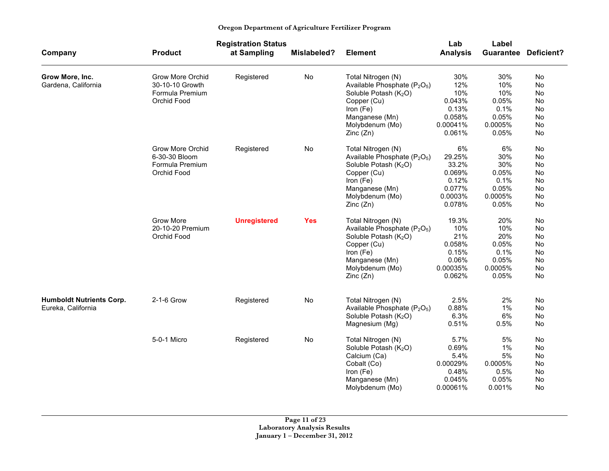|                                                       |                         | <b>Registration Status</b> |                    |                                                                            | Lab             | Label    |                             |
|-------------------------------------------------------|-------------------------|----------------------------|--------------------|----------------------------------------------------------------------------|-----------------|----------|-----------------------------|
| Company                                               | <b>Product</b>          | at Sampling                | <b>Mislabeled?</b> | <b>Element</b>                                                             | <b>Analysis</b> |          | <b>Guarantee Deficient?</b> |
| Grow More, Inc.                                       | <b>Grow More Orchid</b> | Registered                 | No                 | Total Nitrogen (N)                                                         | 30%             | 30%      | No                          |
| Gardena, California                                   | 30-10-10 Growth         |                            |                    | Available Phosphate (P <sub>2</sub> O <sub>5</sub> )                       | 12%             | 10%      | No                          |
|                                                       | Formula Premium         |                            |                    | Soluble Potash (K <sub>2</sub> O)                                          | 10%             | 10%      | No                          |
|                                                       | Orchid Food             |                            |                    | Copper (Cu)                                                                | 0.043%          | 0.05%    | No                          |
|                                                       |                         |                            |                    | Iron (Fe)                                                                  | 0.13%           | 0.1%     | No                          |
|                                                       |                         |                            |                    | Manganese (Mn)                                                             | 0.058%          | 0.05%    | No                          |
|                                                       |                         |                            |                    | Molybdenum (Mo)                                                            | 0.00041%        | 0.0005%  | No                          |
|                                                       |                         |                            |                    | Zinc (Zn)                                                                  | 0.061%          | 0.05%    | No                          |
|                                                       | Grow More Orchid        | Registered                 | No                 | Total Nitrogen (N)                                                         | 6%              | 6%       | No                          |
|                                                       | 6-30-30 Bloom           |                            |                    | Available Phosphate (P <sub>2</sub> O <sub>5</sub> )                       | 29.25%          | 30%      | No                          |
|                                                       | Formula Premium         |                            |                    | Soluble Potash $(K_2O)$                                                    | 33.2%           | 30%      | No                          |
|                                                       | Orchid Food             |                            |                    | Copper (Cu)                                                                | 0.069%          | 0.05%    | No                          |
|                                                       |                         |                            |                    | Iron (Fe)                                                                  | 0.12%           | 0.1%     | No                          |
|                                                       |                         |                            |                    | Manganese (Mn)                                                             | 0.077%          | 0.05%    | <b>No</b>                   |
|                                                       |                         |                            |                    | Molybdenum (Mo)                                                            | 0.0003%         | 0.0005%  | No                          |
|                                                       |                         |                            |                    | Zinc(Zn)                                                                   | 0.078%          | 0.05%    | No                          |
|                                                       | Grow More               | <b>Unregistered</b>        | <b>Yes</b>         | Total Nitrogen (N)                                                         | 19.3%           | 20%      | No                          |
|                                                       | 20-10-20 Premium        |                            |                    | Available Phosphate (P <sub>2</sub> O <sub>5</sub> )                       | 10%             | 10%      | <b>No</b>                   |
|                                                       | Orchid Food             |                            |                    | Soluble Potash (K <sub>2</sub> O)                                          | 21%             | 20%      | No                          |
|                                                       |                         |                            |                    | Copper (Cu)                                                                | 0.058%          | 0.05%    | <b>No</b>                   |
|                                                       |                         |                            |                    | Iron (Fe)                                                                  | 0.15%           | 0.1%     | <b>No</b>                   |
|                                                       |                         |                            |                    | Manganese (Mn)                                                             | 0.06%           | 0.05%    | No                          |
|                                                       |                         |                            |                    | Molybdenum (Mo)                                                            | 0.00035%        | 0.0005%  | No                          |
|                                                       |                         |                            |                    | Zinc (Zn)                                                                  | 0.062%          | 0.05%    | No                          |
|                                                       | 2-1-6 Grow              |                            |                    |                                                                            | 2.5%            |          |                             |
| <b>Humboldt Nutrients Corp.</b><br>Eureka, California |                         | Registered                 | No                 | Total Nitrogen (N)<br>Available Phosphate (P <sub>2</sub> O <sub>5</sub> ) | 0.88%           | 2%<br>1% | No<br><b>No</b>             |
|                                                       |                         |                            |                    | Soluble Potash (K <sub>2</sub> O)                                          | 6.3%            | 6%       | No                          |
|                                                       |                         |                            |                    | Magnesium (Mg)                                                             | 0.51%           | 0.5%     | No                          |
|                                                       |                         |                            |                    |                                                                            |                 |          |                             |
|                                                       | 5-0-1 Micro             | Registered                 | No                 | Total Nitrogen (N)                                                         | 5.7%            | 5%       | No                          |
|                                                       |                         |                            |                    | Soluble Potash $(K_2O)$                                                    | 0.69%           | 1%       | No                          |
|                                                       |                         |                            |                    | Calcium (Ca)                                                               | 5.4%            | 5%       | No                          |
|                                                       |                         |                            |                    | Cobalt (Co)                                                                | 0.00029%        | 0.0005%  | No                          |
|                                                       |                         |                            |                    | Iron (Fe)                                                                  | 0.48%           | 0.5%     | No                          |
|                                                       |                         |                            |                    | Manganese (Mn)                                                             | 0.045%          | 0.05%    | No                          |
|                                                       |                         |                            |                    | Molybdenum (Mo)                                                            | 0.00061%        | 0.001%   | No                          |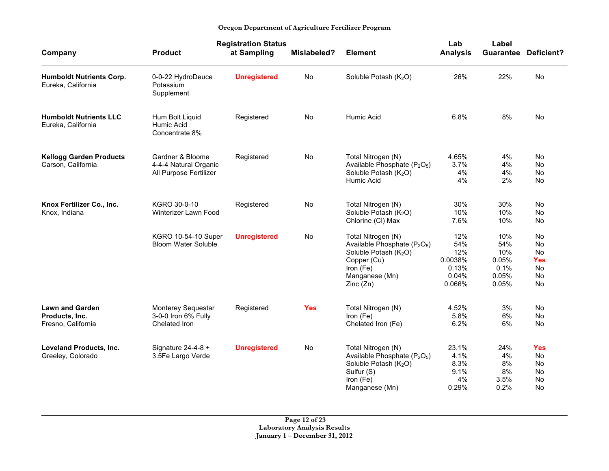|                                                                |                                                                     | <b>Registration Status</b> |             |                                                                                                                                                                           |                                                          | Label                                                |                                                                     |
|----------------------------------------------------------------|---------------------------------------------------------------------|----------------------------|-------------|---------------------------------------------------------------------------------------------------------------------------------------------------------------------------|----------------------------------------------------------|------------------------------------------------------|---------------------------------------------------------------------|
| Company                                                        | <b>Product</b>                                                      | at Sampling                | Mislabeled? | <b>Element</b>                                                                                                                                                            | <b>Analysis</b>                                          | Guarantee                                            | Deficient?                                                          |
| <b>Humboldt Nutrients Corp.</b><br>Eureka, California          | 0-0-22 HydroDeuce<br>Potassium<br>Supplement                        | <b>Unregistered</b>        | No          | Soluble Potash (K <sub>2</sub> O)                                                                                                                                         | 26%                                                      | 22%                                                  | <b>No</b>                                                           |
| <b>Humboldt Nutrients LLC</b><br>Eureka, California            | Hum Bolt Liquid<br>Humic Acid<br>Concentrate 8%                     | Registered                 | <b>No</b>   | Humic Acid                                                                                                                                                                | 6.8%                                                     | 8%                                                   | No                                                                  |
| <b>Kellogg Garden Products</b><br>Carson, California           | Gardner & Bloome<br>4-4-4 Natural Organic<br>All Purpose Fertilizer | Registered                 | No          | Total Nitrogen (N)<br>Available Phosphate (P <sub>2</sub> O <sub>5</sub> )<br>Soluble Potash (K <sub>2</sub> O)<br>Humic Acid                                             | 4.65%<br>3.7%<br>4%<br>4%                                | 4%<br>4%<br>4%<br>2%                                 | No<br><b>No</b><br><b>No</b><br>No                                  |
| Knox Fertilizer Co., Inc.<br>Knox, Indiana                     | KGRO 30-0-10<br>Winterizer Lawn Food                                | Registered                 | No          | Total Nitrogen (N)<br>Soluble Potash (K <sub>2</sub> O)<br>Chlorine (CI) Max                                                                                              | 30%<br>10%<br>7.6%                                       | 30%<br>10%<br>10%                                    | No<br>No<br>No                                                      |
|                                                                | KGRO 10-54-10 Super<br><b>Bloom Water Soluble</b>                   | <b>Unregistered</b>        | <b>No</b>   | Total Nitrogen (N)<br>Available Phosphate (P <sub>2</sub> O <sub>5</sub> )<br>Soluble Potash (K <sub>2</sub> O)<br>Copper (Cu)<br>Iron (Fe)<br>Manganese (Mn)<br>Zinc(Zn) | 12%<br>54%<br>12%<br>0.0038%<br>0.13%<br>0.04%<br>0.066% | 10%<br>54%<br>10%<br>0.05%<br>0.1%<br>0.05%<br>0.05% | <b>No</b><br><b>No</b><br>No<br><b>Yes</b><br><b>No</b><br>No<br>No |
| <b>Lawn and Garden</b><br>Products, Inc.<br>Fresno, California | Monterey Sequestar<br>3-0-0 Iron 6% Fully<br>Chelated Iron          | Registered                 | <b>Yes</b>  | Total Nitrogen (N)<br>Iron (Fe)<br>Chelated Iron (Fe)                                                                                                                     | 4.52%<br>5.8%<br>6.2%                                    | 3%<br>6%<br>6%                                       | No<br><b>No</b><br>No                                               |
| <b>Loveland Products, Inc.</b><br>Greeley, Colorado            | Signature 24-4-8 +<br>3.5Fe Largo Verde                             | <b>Unregistered</b>        | No          | Total Nitrogen (N)<br>Available Phosphate (P <sub>2</sub> O <sub>5</sub> )<br>Soluble Potash (K <sub>2</sub> O)<br>Sulfur (S)<br>Iron (Fe)<br>Manganese (Mn)              | 23.1%<br>4.1%<br>8.3%<br>9.1%<br>4%<br>0.29%             | 24%<br>4%<br>8%<br>8%<br>3.5%<br>0.2%                | <b>Yes</b><br>No<br>No<br>No<br>No<br>No                            |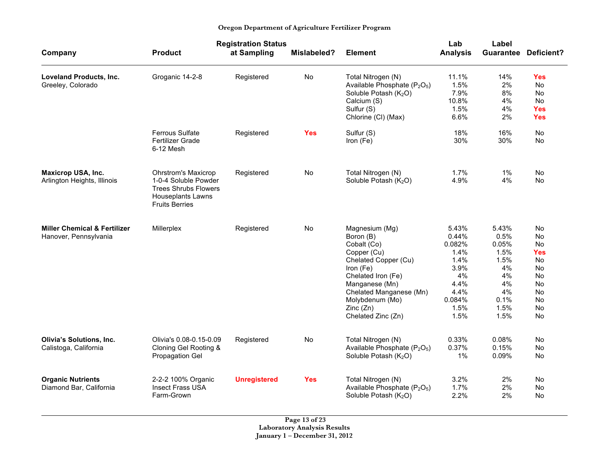|                                                                  |                                                                                                                                        | <b>Registration Status</b> |             |                                                                                                                                                                                                                        | Lab                                                                                              | Label                                                                                  |                                                                                                   |
|------------------------------------------------------------------|----------------------------------------------------------------------------------------------------------------------------------------|----------------------------|-------------|------------------------------------------------------------------------------------------------------------------------------------------------------------------------------------------------------------------------|--------------------------------------------------------------------------------------------------|----------------------------------------------------------------------------------------|---------------------------------------------------------------------------------------------------|
| Company                                                          | <b>Product</b>                                                                                                                         | at Sampling                | Mislabeled? | <b>Element</b>                                                                                                                                                                                                         | <b>Analysis</b>                                                                                  |                                                                                        | <b>Guarantee Deficient?</b>                                                                       |
| Loveland Products, Inc.<br>Greeley, Colorado                     | Groganic 14-2-8                                                                                                                        | Registered                 | No          | Total Nitrogen (N)<br>Available Phosphate (P <sub>2</sub> O <sub>5</sub> )<br>Soluble Potash (K <sub>2</sub> O)<br>Calcium (S)<br>Sulfur (S)<br>Chlorine (CI) (Max)                                                    | 11.1%<br>1.5%<br>7.9%<br>10.8%<br>1.5%<br>6.6%                                                   | 14%<br>2%<br>8%<br>4%<br>4%<br>2%                                                      | Yes<br>No<br><b>No</b><br>No<br>Yes<br><b>Yes</b>                                                 |
|                                                                  | Ferrous Sulfate<br><b>Fertilizer Grade</b><br>6-12 Mesh                                                                                | Registered                 | <b>Yes</b>  | Sulfur (S)<br>Iron (Fe)                                                                                                                                                                                                | 18%<br>30%                                                                                       | 16%<br>30%                                                                             | No<br>No                                                                                          |
| <b>Maxicrop USA, Inc.</b><br>Arlington Heights, Illinois         | <b>Ohrstrom's Maxicrop</b><br>1-0-4 Soluble Powder<br><b>Trees Shrubs Flowers</b><br><b>Houseplants Lawns</b><br><b>Fruits Berries</b> | Registered                 | No          | Total Nitrogen (N)<br>Soluble Potash (K <sub>2</sub> O)                                                                                                                                                                | 1.7%<br>4.9%                                                                                     | 1%<br>4%                                                                               | No<br>No                                                                                          |
| <b>Miller Chemical &amp; Fertilizer</b><br>Hanover, Pennsylvania | Millerplex                                                                                                                             | Registered                 | No          | Magnesium (Mg)<br>Boron (B)<br>Cobalt (Co)<br>Copper (Cu)<br>Chelated Copper (Cu)<br>Iron (Fe)<br>Chelated Iron (Fe)<br>Manganese (Mn)<br>Chelated Manganese (Mn)<br>Molybdenum (Mo)<br>Zinc(Zn)<br>Chelated Zinc (Zn) | 5.43%<br>0.44%<br>0.082%<br>1.4%<br>1.4%<br>3.9%<br>4%<br>4.4%<br>4.4%<br>0.084%<br>1.5%<br>1.5% | 5.43%<br>0.5%<br>0.05%<br>1.5%<br>1.5%<br>4%<br>4%<br>4%<br>4%<br>0.1%<br>1.5%<br>1.5% | <b>No</b><br><b>No</b><br>No<br>Yes<br>No<br><b>No</b><br>No<br>No<br>No<br><b>No</b><br>No<br>No |
| Olivia's Solutions, Inc.<br>Calistoga, California                | Olivia's 0.08-0.15-0.09<br>Cloning Gel Rooting &<br><b>Propagation Gel</b>                                                             | Registered                 | No          | Total Nitrogen (N)<br>Available Phosphate (P <sub>2</sub> O <sub>5</sub> )<br>Soluble Potash (K <sub>2</sub> O)                                                                                                        | 0.33%<br>0.37%<br>1%                                                                             | 0.08%<br>0.15%<br>0.09%                                                                | <b>No</b><br>No<br>No                                                                             |
| <b>Organic Nutrients</b><br>Diamond Bar, California              | 2-2-2 100% Organic<br><b>Insect Frass USA</b><br>Farm-Grown                                                                            | <b>Unregistered</b>        | <b>Yes</b>  | Total Nitrogen (N)<br>Available Phosphate (P <sub>2</sub> O <sub>5</sub> )<br>Soluble Potash (K <sub>2</sub> O)                                                                                                        | 3.2%<br>1.7%<br>2.2%                                                                             | 2%<br>2%<br>2%                                                                         | No<br>No<br>No                                                                                    |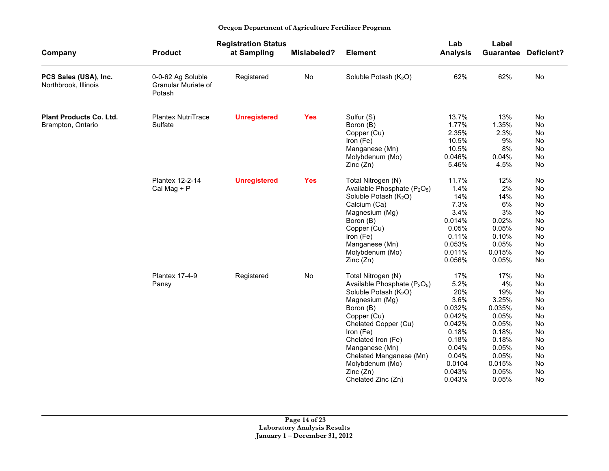j.

|                                                     |                                                    | <b>Registration Status</b> |             |                                                                                                                                                                                                                                                                                                                            | Lab                                                                                                                        | Label                                                                                                                 |                                                                                  |
|-----------------------------------------------------|----------------------------------------------------|----------------------------|-------------|----------------------------------------------------------------------------------------------------------------------------------------------------------------------------------------------------------------------------------------------------------------------------------------------------------------------------|----------------------------------------------------------------------------------------------------------------------------|-----------------------------------------------------------------------------------------------------------------------|----------------------------------------------------------------------------------|
| Company                                             | <b>Product</b>                                     | at Sampling                | Mislabeled? | <b>Element</b>                                                                                                                                                                                                                                                                                                             | <b>Analysis</b>                                                                                                            | <b>Guarantee</b>                                                                                                      | Deficient?                                                                       |
| PCS Sales (USA), Inc.<br>Northbrook, Illinois       | 0-0-62 Ag Soluble<br>Granular Muriate of<br>Potash | Registered                 | No          | Soluble Potash (K <sub>2</sub> O)                                                                                                                                                                                                                                                                                          | 62%                                                                                                                        | 62%                                                                                                                   | No                                                                               |
| <b>Plant Products Co. Ltd.</b><br>Brampton, Ontario | <b>Plantex NutriTrace</b><br>Sulfate               | <b>Unregistered</b>        | <b>Yes</b>  | Sulfur (S)<br>Boron (B)<br>Copper (Cu)<br>Iron (Fe)<br>Manganese (Mn)                                                                                                                                                                                                                                                      | 13.7%<br>1.77%<br>2.35%<br>10.5%<br>10.5%                                                                                  | 13%<br>1.35%<br>2.3%<br>9%<br>8%                                                                                      | No<br>No<br>No<br>No<br>No                                                       |
|                                                     |                                                    |                            |             | Molybdenum (Mo)<br>Zinc(Zn)                                                                                                                                                                                                                                                                                                | 0.046%<br>5.46%                                                                                                            | 0.04%<br>4.5%                                                                                                         | No<br>No                                                                         |
|                                                     | Plantex 12-2-14<br>Cal Mag + P                     | <b>Unregistered</b>        | <b>Yes</b>  | Total Nitrogen (N)<br>Available Phosphate (P <sub>2</sub> O <sub>5</sub> )<br>Soluble Potash (K <sub>2</sub> O)<br>Calcium (Ca)<br>Magnesium (Mg)<br>Boron (B)<br>Copper (Cu)<br>Iron (Fe)<br>Manganese (Mn)<br>Molybdenum (Mo)<br>Zinc(Zn)                                                                                | 11.7%<br>1.4%<br>14%<br>7.3%<br>3.4%<br>0.014%<br>0.05%<br>0.11%<br>0.053%<br>0.011%<br>0.056%                             | 12%<br>2%<br>14%<br>6%<br>3%<br>0.02%<br>0.05%<br>0.10%<br>0.05%<br>0.015%<br>0.05%                                   | No<br>No<br>No<br>No<br><b>No</b><br>No<br><b>No</b><br>No<br>No<br>No<br>No     |
|                                                     | <b>Plantex 17-4-9</b><br>Pansy                     | Registered                 | No          | Total Nitrogen (N)<br>Available Phosphate (P <sub>2</sub> O <sub>5</sub> )<br>Soluble Potash (K <sub>2</sub> O)<br>Magnesium (Mg)<br>Boron (B)<br>Copper (Cu)<br>Chelated Copper (Cu)<br>Iron (Fe)<br>Chelated Iron (Fe)<br>Manganese (Mn)<br>Chelated Manganese (Mn)<br>Molybdenum (Mo)<br>Zinc(Zn)<br>Chelated Zinc (Zn) | 17%<br>5.2%<br>20%<br>3.6%<br>0.032%<br>0.042%<br>0.042%<br>0.18%<br>0.18%<br>0.04%<br>0.04%<br>0.0104<br>0.043%<br>0.043% | 17%<br>4%<br>19%<br>3.25%<br>0.035%<br>0.05%<br>0.05%<br>0.18%<br>0.18%<br>0.05%<br>0.05%<br>0.015%<br>0.05%<br>0.05% | No<br>No<br>No<br>No<br>No<br>No<br>No<br>No<br>No<br>No<br>No<br>No<br>No<br>No |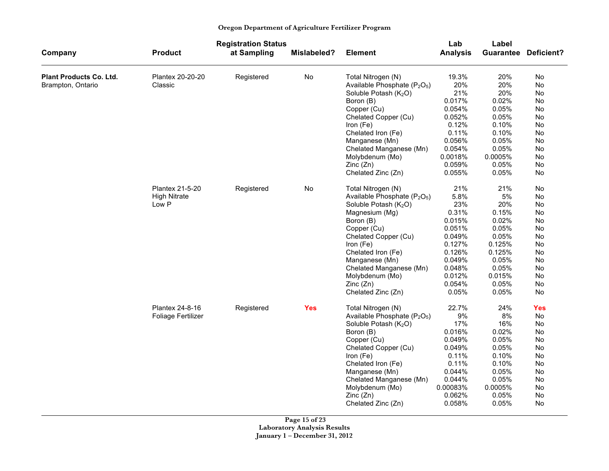|                                |                           | <b>Registration Status</b> |             | Lab<br>Label                                         |                 |         |                             |
|--------------------------------|---------------------------|----------------------------|-------------|------------------------------------------------------|-----------------|---------|-----------------------------|
| Company                        | <b>Product</b>            | at Sampling                | Mislabeled? | <b>Element</b>                                       | <b>Analysis</b> |         | <b>Guarantee Deficient?</b> |
| <b>Plant Products Co. Ltd.</b> | Plantex 20-20-20          | Registered                 | No          | Total Nitrogen (N)                                   | 19.3%           | 20%     | No                          |
| Brampton, Ontario              | Classic                   |                            |             | Available Phosphate (P <sub>2</sub> O <sub>5</sub> ) | 20%             | 20%     | No                          |
|                                |                           |                            |             | Soluble Potash (K <sub>2</sub> O)                    | 21%             | 20%     | No                          |
|                                |                           |                            |             | Boron (B)                                            | 0.017%          | 0.02%   | No                          |
|                                |                           |                            |             | Copper (Cu)                                          | 0.054%          | 0.05%   | <b>No</b>                   |
|                                |                           |                            |             | Chelated Copper (Cu)                                 | 0.052%          | 0.05%   | No                          |
|                                |                           |                            |             | Iron (Fe)                                            | 0.12%           | 0.10%   | No                          |
|                                |                           |                            |             | Chelated Iron (Fe)                                   | 0.11%           | 0.10%   | No                          |
|                                |                           |                            |             | Manganese (Mn)                                       | 0.056%          | 0.05%   | No                          |
|                                |                           |                            |             | Chelated Manganese (Mn)                              | 0.054%          | 0.05%   | No                          |
|                                |                           |                            |             | Molybdenum (Mo)                                      | 0.0018%         | 0.0005% | No                          |
|                                |                           |                            |             | Zinc (Zn)                                            | 0.059%          | 0.05%   | No                          |
|                                |                           |                            |             | Chelated Zinc (Zn)                                   | 0.055%          | 0.05%   | No                          |
|                                | Plantex 21-5-20           | Registered                 | No          | Total Nitrogen (N)                                   | 21%             | 21%     | No                          |
|                                | <b>High Nitrate</b>       |                            |             | Available Phosphate $(P_2O_5)$                       | 5.8%            | 5%      | No                          |
|                                | Low P                     |                            |             | Soluble Potash (K <sub>2</sub> O)                    | 23%             | 20%     | No                          |
|                                |                           |                            |             | Magnesium (Mg)                                       | 0.31%           | 0.15%   | No                          |
|                                |                           |                            |             | Boron (B)                                            | 0.015%          | 0.02%   | No                          |
|                                |                           |                            |             | Copper (Cu)                                          | 0.051%          | 0.05%   | No                          |
|                                |                           |                            |             | Chelated Copper (Cu)                                 | 0.049%          | 0.05%   | No                          |
|                                |                           |                            |             | Iron (Fe)                                            | 0.127%          | 0.125%  | No.                         |
|                                |                           |                            |             | Chelated Iron (Fe)                                   | 0.126%          | 0.125%  | No                          |
|                                |                           |                            |             | Manganese (Mn)                                       | 0.049%          | 0.05%   | No                          |
|                                |                           |                            |             | Chelated Manganese (Mn)                              | 0.048%          | 0.05%   | No                          |
|                                |                           |                            |             | Molybdenum (Mo)                                      | 0.012%          | 0.015%  | No.                         |
|                                |                           |                            |             | Zinc (Zn)                                            | 0.054%          | 0.05%   | No                          |
|                                |                           |                            |             | Chelated Zinc (Zn)                                   | 0.05%           | 0.05%   | No                          |
|                                | Plantex 24-8-16           | Registered                 | <b>Yes</b>  | Total Nitrogen (N)                                   | 22.7%           | 24%     | <b>Yes</b>                  |
|                                | <b>Foliage Fertilizer</b> |                            |             | Available Phosphate (P <sub>2</sub> O <sub>5</sub> ) | 9%              | 8%      | No                          |
|                                |                           |                            |             | Soluble Potash (K <sub>2</sub> O)                    | 17%             | 16%     | No                          |
|                                |                           |                            |             | Boron (B)                                            | 0.016%          | 0.02%   | No                          |
|                                |                           |                            |             | Copper (Cu)                                          | 0.049%          | 0.05%   | No                          |
|                                |                           |                            |             | Chelated Copper (Cu)                                 | 0.049%          | 0.05%   | No                          |
|                                |                           |                            |             | Iron (Fe)                                            | 0.11%           | 0.10%   | No                          |
|                                |                           |                            |             | Chelated Iron (Fe)                                   | 0.11%           | 0.10%   | No.                         |
|                                |                           |                            |             | Manganese (Mn)                                       | 0.044%          | 0.05%   | No                          |
|                                |                           |                            |             | Chelated Manganese (Mn)                              | 0.044%          | 0.05%   | No                          |
|                                |                           |                            |             | Molybdenum (Mo)                                      | 0.00083%        | 0.0005% | No                          |
|                                |                           |                            |             | Zinc(Zn)                                             | 0.062%          | 0.05%   | No                          |
|                                |                           |                            |             | Chelated Zinc (Zn)                                   | 0.058%          | 0.05%   | No                          |

**Page 15 of 23 Laboratory Analysis Results January 1 – December 31, 2012**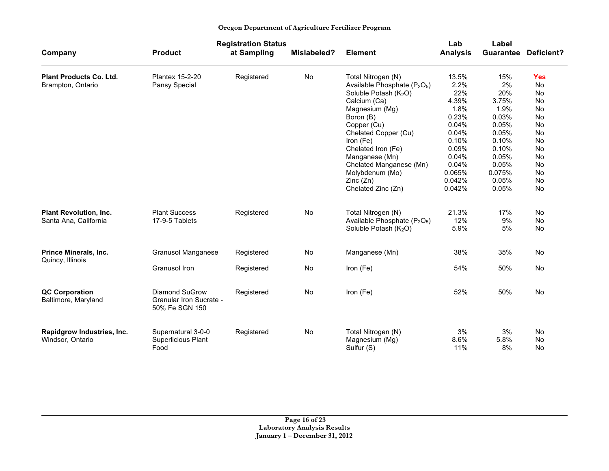| Oregon Department of Agriculture Fertilizer Program |  |  |  |  |  |
|-----------------------------------------------------|--|--|--|--|--|
|-----------------------------------------------------|--|--|--|--|--|

|                                |                                           | <b>Registration Status</b> |             |                                                      | Lab             | Label  |                             |
|--------------------------------|-------------------------------------------|----------------------------|-------------|------------------------------------------------------|-----------------|--------|-----------------------------|
| Company                        | <b>Product</b>                            | at Sampling                | Mislabeled? | <b>Element</b>                                       | <b>Analysis</b> |        | <b>Guarantee Deficient?</b> |
| <b>Plant Products Co. Ltd.</b> | <b>Plantex 15-2-20</b>                    | Registered                 | No          | Total Nitrogen (N)                                   | 13.5%           | 15%    | <b>Yes</b>                  |
| Brampton, Ontario              | Pansy Special                             |                            |             | Available Phosphate (P <sub>2</sub> O <sub>5</sub> ) | 2.2%            | 2%     | <b>No</b>                   |
|                                |                                           |                            |             | Soluble Potash (K <sub>2</sub> O)                    | 22%             | 20%    | <b>No</b>                   |
|                                |                                           |                            |             | Calcium (Ca)                                         | 4.39%           | 3.75%  | <b>No</b>                   |
|                                |                                           |                            |             | Magnesium (Mg)                                       | 1.8%            | 1.9%   | <b>No</b>                   |
|                                |                                           |                            |             | Boron (B)                                            | 0.23%           | 0.03%  | <b>No</b>                   |
|                                |                                           |                            |             | Copper (Cu)                                          | 0.04%           | 0.05%  | <b>No</b>                   |
|                                |                                           |                            |             | Chelated Copper (Cu)                                 | 0.04%           | 0.05%  | <b>No</b>                   |
|                                |                                           |                            |             | Iron (Fe)                                            | 0.10%           | 0.10%  | <b>No</b>                   |
|                                |                                           |                            |             | Chelated Iron (Fe)                                   | 0.09%           | 0.10%  | <b>No</b>                   |
|                                |                                           |                            |             | Manganese (Mn)                                       | 0.04%           | 0.05%  | No                          |
|                                |                                           |                            |             | Chelated Manganese (Mn)                              | 0.04%           | 0.05%  | No                          |
|                                |                                           |                            |             | Molybdenum (Mo)                                      | 0.065%          | 0.075% | No                          |
|                                |                                           |                            |             | Zinc(Zn)                                             | 0.042%          | 0.05%  | No                          |
|                                |                                           |                            |             | Chelated Zinc (Zn)                                   | 0.042%          | 0.05%  | No                          |
| <b>Plant Revolution, Inc.</b>  | <b>Plant Success</b>                      | Registered                 | No          | Total Nitrogen (N)                                   | 21.3%           | 17%    | <b>No</b>                   |
| Santa Ana, California          | 17-9-5 Tablets                            |                            |             | Available Phosphate (P <sub>2</sub> O <sub>5</sub> ) | 12%             | 9%     | No                          |
|                                |                                           |                            |             | Soluble Potash (K <sub>2</sub> O)                    | 5.9%            | 5%     | No                          |
| Prince Minerals, Inc.          | <b>Granusol Manganese</b>                 | Registered                 | No          | Manganese (Mn)                                       | 38%             | 35%    | No                          |
| Quincy, Illinois               |                                           |                            |             |                                                      |                 |        |                             |
|                                | Granusol Iron                             | Registered                 | No          | Iron (Fe)                                            | 54%             | 50%    | No                          |
| <b>QC Corporation</b>          | Diamond SuGrow                            | Registered                 | <b>No</b>   | Iron (Fe)                                            | 52%             | 50%    | <b>No</b>                   |
| Baltimore, Maryland            | Granular Iron Sucrate -<br>50% Fe SGN 150 |                            |             |                                                      |                 |        |                             |
| Rapidgrow Industries, Inc.     | Supernatural 3-0-0                        | Registered                 | No          | Total Nitrogen (N)                                   | 3%              | 3%     | <b>No</b>                   |
| Windsor, Ontario               | Superlicious Plant                        |                            |             | Magnesium (Mg)                                       | 8.6%            | 5.8%   | <b>No</b>                   |
|                                | Food                                      |                            |             | Sulfur (S)                                           | 11%             | 8%     | <b>No</b>                   |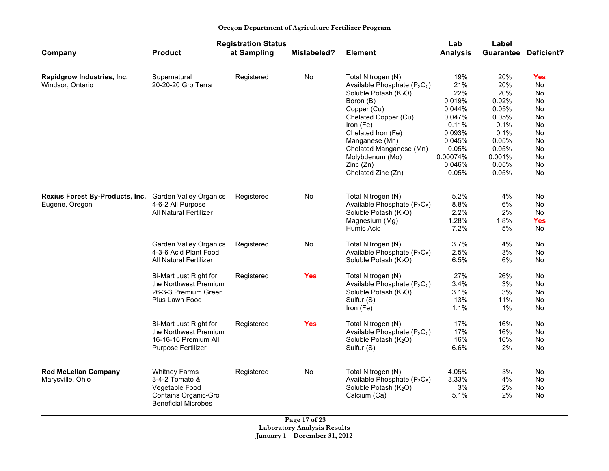| Oregon Department of Agriculture Fertilizer Program |  |  |  |  |  |
|-----------------------------------------------------|--|--|--|--|--|
|-----------------------------------------------------|--|--|--|--|--|

|                                        |                                                    | <b>Registration Status</b> |                    |                                                                                           | Lab             | Label      |                             |
|----------------------------------------|----------------------------------------------------|----------------------------|--------------------|-------------------------------------------------------------------------------------------|-----------------|------------|-----------------------------|
| Company                                | <b>Product</b>                                     | at Sampling                | <b>Mislabeled?</b> | <b>Element</b>                                                                            | <b>Analysis</b> |            | <b>Guarantee Deficient?</b> |
| Rapidgrow Industries, Inc.             | Supernatural                                       | Registered                 | No                 | Total Nitrogen (N)                                                                        | 19%             | 20%        | Yes                         |
| Windsor, Ontario                       | 20-20-20 Gro Terra                                 |                            |                    | Available Phosphate (P <sub>2</sub> O <sub>5</sub> )<br>Soluble Potash (K <sub>2</sub> O) | 21%<br>22%      | 20%<br>20% | No<br>No                    |
|                                        |                                                    |                            |                    | Boron (B)                                                                                 | 0.019%          | 0.02%      | No                          |
|                                        |                                                    |                            |                    | Copper (Cu)                                                                               | 0.044%          | 0.05%      | No                          |
|                                        |                                                    |                            |                    | Chelated Copper (Cu)                                                                      | 0.047%          | 0.05%      | No                          |
|                                        |                                                    |                            |                    | Iron (Fe)                                                                                 | 0.11%           | 0.1%       | No                          |
|                                        |                                                    |                            |                    | Chelated Iron (Fe)                                                                        | 0.093%          | 0.1%       | <b>No</b>                   |
|                                        |                                                    |                            |                    | Manganese (Mn)                                                                            | 0.045%          | 0.05%      | <b>No</b>                   |
|                                        |                                                    |                            |                    | Chelated Manganese (Mn)                                                                   | 0.05%           | 0.05%      | <b>No</b>                   |
|                                        |                                                    |                            |                    | Molybdenum (Mo)                                                                           | 0.00074%        | 0.001%     | <b>No</b>                   |
|                                        |                                                    |                            |                    | Zinc(Zn)                                                                                  | 0.046%          | 0.05%      | <b>No</b>                   |
|                                        |                                                    |                            |                    | Chelated Zinc (Zn)                                                                        | 0.05%           | 0.05%      | <b>No</b>                   |
| <b>Rexius Forest By-Products, Inc.</b> | <b>Garden Valley Organics</b>                      | Registered                 | No                 | Total Nitrogen (N)                                                                        | 5.2%            | 4%         | No                          |
| Eugene, Oregon                         | 4-6-2 All Purpose                                  |                            |                    | Available Phosphate $(P_2O_5)$                                                            | 8.8%            | 6%         | No                          |
|                                        | All Natural Fertilizer                             |                            |                    | Soluble Potash (K <sub>2</sub> O)                                                         | 2.2%            | 2%         | No                          |
|                                        |                                                    |                            |                    | Magnesium (Mg)                                                                            | 1.28%           | 1.8%       | <b>Yes</b>                  |
|                                        |                                                    |                            |                    | Humic Acid                                                                                | 7.2%            | 5%         | No                          |
|                                        | <b>Garden Valley Organics</b>                      | Registered                 | No                 | Total Nitrogen (N)                                                                        | 3.7%            | 4%         | No                          |
|                                        | 4-3-6 Acid Plant Food                              |                            |                    | Available Phosphate (P <sub>2</sub> O <sub>5</sub> )                                      | 2.5%            | 3%         | No                          |
|                                        | <b>All Natural Fertilizer</b>                      |                            |                    | Soluble Potash (K <sub>2</sub> O)                                                         | 6.5%            | 6%         | No                          |
|                                        | Bi-Mart Just Right for                             | Registered                 | <b>Yes</b>         | Total Nitrogen (N)                                                                        | 27%             | 26%        | No                          |
|                                        | the Northwest Premium                              |                            |                    | Available Phosphate (P <sub>2</sub> O <sub>5</sub> )                                      | 3.4%            | 3%         | No                          |
|                                        | 26-3-3 Premium Green                               |                            |                    | Soluble Potash (K <sub>2</sub> O)                                                         | 3.1%            | 3%         | No                          |
|                                        | Plus Lawn Food                                     |                            |                    | Sulfur (S)                                                                                | 13%             | 11%        | No                          |
|                                        |                                                    |                            |                    | Iron (Fe)                                                                                 | 1.1%            | $1\%$      | <b>No</b>                   |
|                                        | Bi-Mart Just Right for                             | Registered                 | <b>Yes</b>         | Total Nitrogen (N)                                                                        | 17%             | 16%        | No                          |
|                                        | the Northwest Premium                              |                            |                    | Available Phosphate $(P_2O_5)$                                                            | 17%             | 16%        | No                          |
|                                        | 16-16-16 Premium All                               |                            |                    | Soluble Potash (K <sub>2</sub> O)                                                         | 16%             | 16%        | No                          |
|                                        | Purpose Fertilizer                                 |                            |                    | Sulfur (S)                                                                                | 6.6%            | 2%         | No                          |
| <b>Rod McLellan Company</b>            | <b>Whitney Farms</b>                               | Registered                 | No                 | Total Nitrogen (N)                                                                        | 4.05%           | 3%         | No                          |
| Marysville, Ohio                       | 3-4-2 Tomato &                                     |                            |                    | Available Phosphate (P <sub>2</sub> O <sub>5</sub> )                                      | 3.33%           | 4%         | No                          |
|                                        | Vegetable Food                                     |                            |                    | Soluble Potash (K <sub>2</sub> O)                                                         | 3%              | 2%         | No                          |
|                                        | Contains Organic-Gro<br><b>Beneficial Microbes</b> |                            |                    | Calcium (Ca)                                                                              | 5.1%            | 2%         | No                          |

**Page 17 of 23 Laboratory Analysis Results January 1 – December 31, 2012**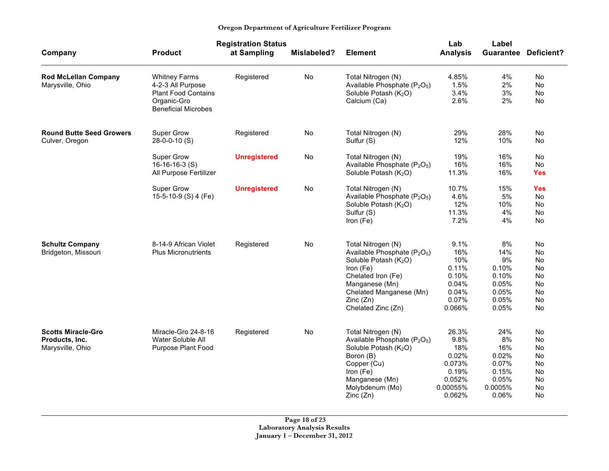|                                                                 |                                                                                                                      | <b>Registration Status</b> |             |                                                                                                                                                                                                                                   | Lab                                                                              | Label                                                                    |                                                    |
|-----------------------------------------------------------------|----------------------------------------------------------------------------------------------------------------------|----------------------------|-------------|-----------------------------------------------------------------------------------------------------------------------------------------------------------------------------------------------------------------------------------|----------------------------------------------------------------------------------|--------------------------------------------------------------------------|----------------------------------------------------|
| Company                                                         | <b>Product</b>                                                                                                       | at Sampling                | Mislabeled? | <b>Element</b>                                                                                                                                                                                                                    | <b>Analysis</b>                                                                  |                                                                          | <b>Guarantee Deficient?</b>                        |
| <b>Rod McLellan Company</b><br>Marysville, Ohio                 | <b>Whitney Farms</b><br>4-2-3 All Purpose<br><b>Plant Food Contains</b><br>Organic-Gro<br><b>Beneficial Microbes</b> | Registered                 | No          | Total Nitrogen (N)<br>Available Phosphate (P <sub>2</sub> O <sub>5</sub> )<br>Soluble Potash (K <sub>2</sub> O)<br>Calcium (Ca)                                                                                                   | 4.85%<br>1.5%<br>3.4%<br>2.6%                                                    | 4%<br>2%<br>3%<br>2%                                                     | No<br>No.<br>No<br>No                              |
| <b>Round Butte Seed Growers</b><br>Culver, Oregon               | Super Grow<br>28-0-0-10 (S)                                                                                          | Registered                 | No          | Total Nitrogen (N)<br>Sulfur (S)                                                                                                                                                                                                  | 29%<br>12%                                                                       | 28%<br>10%                                                               | No<br>No.                                          |
|                                                                 | Super Grow<br>$16-16-16-3$ (S)<br>All Purpose Fertilizer                                                             | <b>Unregistered</b>        | No          | Total Nitrogen (N)<br>Available Phosphate (P <sub>2</sub> O <sub>5</sub> )<br>Soluble Potash (K <sub>2</sub> O)                                                                                                                   | 19%<br>16%<br>11.3%                                                              | 16%<br>16%<br>16%                                                        | No<br>No<br><b>Yes</b>                             |
|                                                                 | Super Grow<br>15-5-10-9 (S) 4 (Fe)                                                                                   | <b>Unregistered</b>        | No          | Total Nitrogen (N)<br>Available Phosphate (P <sub>2</sub> O <sub>5</sub> )<br>Soluble Potash (K <sub>2</sub> O)<br>Sulfur (S)<br>Iron (Fe)                                                                                        | 10.7%<br>4.6%<br>12%<br>11.3%<br>7.2%                                            | 15%<br>5%<br>10%<br>4%<br>4%                                             | <b>Yes</b><br>No<br>No<br>No<br>No                 |
| <b>Schultz Company</b><br>Bridgeton, Missouri                   | 8-14-9 African Violet<br><b>Plus Micronutrients</b>                                                                  | Registered                 | No          | Total Nitrogen (N)<br>Available Phosphate (P <sub>2</sub> O <sub>5</sub> )<br>Soluble Potash (K <sub>2</sub> O)<br>Iron (Fe)<br>Chelated Iron (Fe)<br>Manganese (Mn)<br>Chelated Manganese (Mn)<br>Zinc(Zn)<br>Chelated Zinc (Zn) | 9.1%<br>16%<br>10%<br>0.11%<br>0.10%<br>0.04%<br>0.04%<br>0.07%<br>0.066%        | 8%<br>14%<br>9%<br>0.10%<br>0.10%<br>0.05%<br>0.05%<br>0.05%<br>0.05%    | No<br>No<br>No<br>No<br>No<br>No<br>No<br>No<br>No |
| <b>Scotts Miracle-Gro</b><br>Products, Inc.<br>Marysville, Ohio | Miracle-Gro 24-8-16<br>Water Soluble All<br>Purpose Plant Food                                                       | Registered                 | No          | Total Nitrogen (N)<br>Available Phosphate (P <sub>2</sub> O <sub>5</sub> )<br>Soluble Potash (K <sub>2</sub> O)<br>Boron (B)<br>Copper (Cu)<br>Iron (Fe)<br>Manganese (Mn)<br>Molybdenum (Mo)<br>Zinc (Zn)                        | 26.3%<br>9.8%<br>18%<br>0.02%<br>0.073%<br>0.19%<br>0.052%<br>0.00055%<br>0.062% | 24%<br>8%<br>16%<br>0.02%<br>0.07%<br>0.15%<br>0.05%<br>0.0005%<br>0.06% | No<br>No<br>No<br>No<br>No<br>No<br>No<br>No<br>No |

**Page 18 of 23 Laboratory Analysis Results January 1 – December 31, 2012**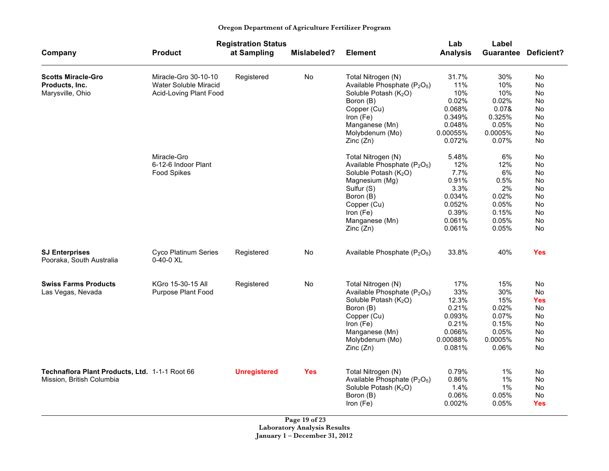|  | Oregon Department of Agriculture Fertilizer Program |  |
|--|-----------------------------------------------------|--|
|  |                                                     |  |

|                                                                             |                                                                         | <b>Registration Status</b> |                    |                                                                                                                                                                                                                                    | Lab                                                                                    | Label                                                                      |                                                                               |
|-----------------------------------------------------------------------------|-------------------------------------------------------------------------|----------------------------|--------------------|------------------------------------------------------------------------------------------------------------------------------------------------------------------------------------------------------------------------------------|----------------------------------------------------------------------------------------|----------------------------------------------------------------------------|-------------------------------------------------------------------------------|
| Company                                                                     | <b>Product</b>                                                          | at Sampling                | <b>Mislabeled?</b> | <b>Element</b>                                                                                                                                                                                                                     | <b>Analysis</b>                                                                        |                                                                            | <b>Guarantee Deficient?</b>                                                   |
| <b>Scotts Miracle-Gro</b><br>Products, Inc.<br>Marysville, Ohio             | Miracle-Gro 30-10-10<br>Water Soluble Miracid<br>Acid-Loving Plant Food | Registered                 | No                 | Total Nitrogen (N)<br>Available Phosphate (P <sub>2</sub> O <sub>5</sub> )<br>Soluble Potash (K <sub>2</sub> O)<br>Boron (B)<br>Copper (Cu)<br>Iron (Fe)<br>Manganese (Mn)<br>Molybdenum (Mo)                                      | 31.7%<br>11%<br>10%<br>0.02%<br>0.068%<br>0.349%<br>0.048%<br>0.00055%<br>0.072%       | 30%<br>10%<br>10%<br>0.02%<br>0.07&<br>0.325%<br>0.05%<br>0.0005%<br>0.07% | No<br>No<br>No<br>No<br>No<br>No<br><b>No</b><br>No<br>No                     |
|                                                                             | Miracle-Gro<br>6-12-6 Indoor Plant<br><b>Food Spikes</b>                |                            |                    | Zinc(Zn)<br>Total Nitrogen (N)<br>Available Phosphate (P <sub>2</sub> O <sub>5</sub> )<br>Soluble Potash (K <sub>2</sub> O)<br>Magnesium (Mg)<br>Sulfur (S)<br>Boron (B)<br>Copper (Cu)<br>Iron (Fe)<br>Manganese (Mn)<br>Zinc(Zn) | 5.48%<br>12%<br>7.7%<br>0.91%<br>3.3%<br>0.034%<br>0.052%<br>0.39%<br>0.061%<br>0.061% | 6%<br>12%<br>6%<br>0.5%<br>2%<br>0.02%<br>0.05%<br>0.15%<br>0.05%<br>0.05% | No<br>No<br>No<br>No<br><b>No</b><br>No<br>No<br><b>No</b><br>No<br><b>No</b> |
| <b>SJ Enterprises</b><br>Pooraka, South Australia                           | Cyco Platinum Series<br>$0-40-0$ XL                                     | Registered                 | No                 | Available Phosphate (P <sub>2</sub> O <sub>5</sub> )                                                                                                                                                                               | 33.8%                                                                                  | 40%                                                                        | <b>Yes</b>                                                                    |
| <b>Swiss Farms Products</b><br>Las Vegas, Nevada                            | KGro 15-30-15 All<br>Purpose Plant Food                                 | Registered                 | No                 | Total Nitrogen (N)<br>Available Phosphate (P <sub>2</sub> O <sub>5</sub> )<br>Soluble Potash (K <sub>2</sub> O)<br>Boron (B)<br>Copper (Cu)<br>Iron (Fe)<br>Manganese (Mn)<br>Molybdenum (Mo)<br>Zinc(Zn)                          | 17%<br>33%<br>12.3%<br>0.21%<br>0.093%<br>0.21%<br>0.066%<br>0.00088%<br>0.081%        | 15%<br>30%<br>15%<br>0.02%<br>0.07%<br>0.15%<br>0.05%<br>0.0005%<br>0.06%  | No<br>No<br><b>Yes</b><br>No<br><b>No</b><br>No<br>No<br>No<br>No             |
| Technaflora Plant Products, Ltd. 1-1-1 Root 66<br>Mission, British Columbia |                                                                         | <b>Unregistered</b>        | <b>Yes</b>         | Total Nitrogen (N)<br>Available Phosphate (P <sub>2</sub> O <sub>5</sub> )<br>Soluble Potash (K <sub>2</sub> O)<br>Boron (B)<br>Iron (Fe)                                                                                          | 0.79%<br>0.86%<br>1.4%<br>0.06%<br>0.002%                                              | 1%<br>$1\%$<br>1%<br>0.05%<br>0.05%                                        | No<br>No<br>No<br>No<br>Yes                                                   |

**Page 19 of 23 Laboratory Analysis Results January 1 – December 31, 2012**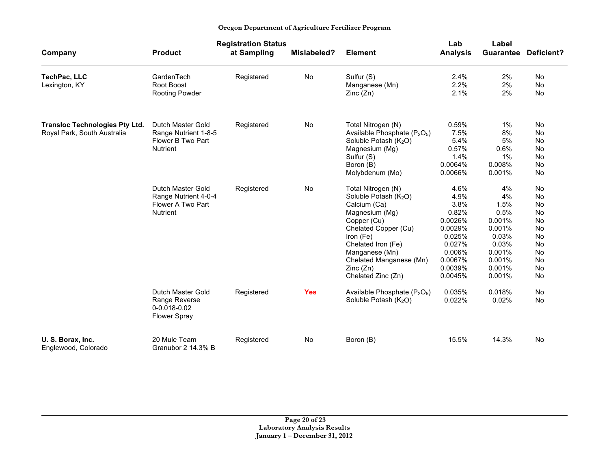| Oregon Department of Agriculture Fertilizer Program |  |
|-----------------------------------------------------|--|
|-----------------------------------------------------|--|

|                                                                      |                                                                                   | <b>Registration Status</b> |             |                                                                                                                                                                                                                                                    | Lab                                                                                                                | Label                                                                                                  |                                                                                           |
|----------------------------------------------------------------------|-----------------------------------------------------------------------------------|----------------------------|-------------|----------------------------------------------------------------------------------------------------------------------------------------------------------------------------------------------------------------------------------------------------|--------------------------------------------------------------------------------------------------------------------|--------------------------------------------------------------------------------------------------------|-------------------------------------------------------------------------------------------|
| Company                                                              | <b>Product</b>                                                                    | at Sampling                | Mislabeled? | <b>Element</b>                                                                                                                                                                                                                                     | <b>Analysis</b>                                                                                                    |                                                                                                        | <b>Guarantee Deficient?</b>                                                               |
| TechPac, LLC<br>Lexington, KY                                        | GardenTech<br>Root Boost<br>Rooting Powder                                        | Registered                 | No          | Sulfur (S)<br>Manganese (Mn)<br>Zinc(Zn)                                                                                                                                                                                                           | 2.4%<br>2.2%<br>2.1%                                                                                               | 2%<br>2%<br>2%                                                                                         | <b>No</b><br><b>No</b><br><b>No</b>                                                       |
| <b>Transloc Technologies Pty Ltd.</b><br>Royal Park, South Australia | Dutch Master Gold<br>Range Nutrient 1-8-5<br>Flower B Two Part<br><b>Nutrient</b> | Registered                 | No          | Total Nitrogen (N)<br>Available Phosphate (P <sub>2</sub> O <sub>5</sub> )<br>Soluble Potash (K <sub>2</sub> O)<br>Magnesium (Mg)<br>Sulfur (S)<br>Boron (B)<br>Molybdenum (Mo)                                                                    | 0.59%<br>7.5%<br>5.4%<br>0.57%<br>1.4%<br>0.0064%<br>0.0066%                                                       | $1\%$<br>8%<br>5%<br>0.6%<br>$1\%$<br>0.008%<br>0.001%                                                 | No<br>No<br><b>No</b><br><b>No</b><br>No<br>No<br>No                                      |
|                                                                      | Dutch Master Gold<br>Range Nutrient 4-0-4<br>Flower A Two Part<br><b>Nutrient</b> | Registered                 | No          | Total Nitrogen (N)<br>Soluble Potash (K <sub>2</sub> O)<br>Calcium (Ca)<br>Magnesium (Mg)<br>Copper (Cu)<br>Chelated Copper (Cu)<br>Iron (Fe)<br>Chelated Iron (Fe)<br>Manganese (Mn)<br>Chelated Manganese (Mn)<br>Zinc(Zn)<br>Chelated Zinc (Zn) | 4.6%<br>4.9%<br>3.8%<br>0.82%<br>0.0026%<br>0.0029%<br>0.025%<br>0.027%<br>0.006%<br>0.0067%<br>0.0039%<br>0.0045% | 4%<br>4%<br>1.5%<br>0.5%<br>0.001%<br>0.001%<br>0.03%<br>0.03%<br>0.001%<br>0.001%<br>0.001%<br>0.001% | No<br>No<br>No<br><b>No</b><br><b>No</b><br>No<br>No<br>No<br><b>No</b><br>No<br>No<br>No |
|                                                                      | Dutch Master Gold<br>Range Reverse<br>0-0.018-0.02<br><b>Flower Spray</b>         | Registered                 | <b>Yes</b>  | Available Phosphate (P <sub>2</sub> O <sub>5</sub> )<br>Soluble Potash (K <sub>2</sub> O)                                                                                                                                                          | 0.035%<br>0.022%                                                                                                   | 0.018%<br>0.02%                                                                                        | No<br><b>No</b>                                                                           |
| U. S. Borax, Inc.<br>Englewood, Colorado                             | 20 Mule Team<br>Granubor 2 14.3% B                                                | Registered                 | No          | Boron (B)                                                                                                                                                                                                                                          | 15.5%                                                                                                              | 14.3%                                                                                                  | <b>No</b>                                                                                 |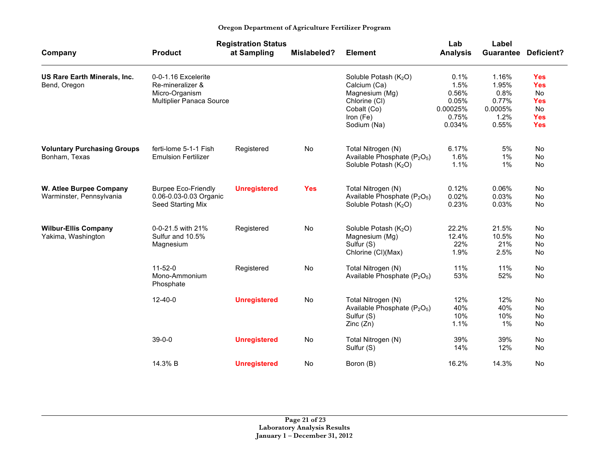|                                              | <b>Registration Status</b>              |                     |             |                                                      | Lab             | Label            |                          |
|----------------------------------------------|-----------------------------------------|---------------------|-------------|------------------------------------------------------|-----------------|------------------|--------------------------|
| Company                                      | <b>Product</b>                          | at Sampling         | Mislabeled? | <b>Element</b>                                       | <b>Analysis</b> | <b>Guarantee</b> | Deficient?               |
| US Rare Earth Minerals, Inc.<br>Bend, Oregon | 0-0-1.16 Excelerite<br>Re-mineralizer & |                     |             | Soluble Potash (K <sub>2</sub> O)<br>Calcium (Ca)    | 0.1%<br>1.5%    | 1.16%<br>1.95%   | <b>Yes</b><br><b>Yes</b> |
|                                              | Micro-Organism                          |                     |             | Magnesium (Mg)                                       | 0.56%           | 0.8%             | <b>No</b>                |
|                                              | Multiplier Panaca Source                |                     |             | Chlorine (CI)                                        | 0.05%           | 0.77%            | <b>Yes</b>               |
|                                              |                                         |                     |             | Cobalt (Co)                                          | 0.00025%        | 0.0005%          | <b>No</b>                |
|                                              |                                         |                     |             | Iron (Fe)                                            | 0.75%           | 1.2%             | <b>Yes</b>               |
|                                              |                                         |                     |             | Sodium (Na)                                          | 0.034%          | 0.55%            | <b>Yes</b>               |
| <b>Voluntary Purchasing Groups</b>           | ferti-lome 5-1-1 Fish                   | Registered          | No          | Total Nitrogen (N)                                   | 6.17%           | 5%               | <b>No</b>                |
| Bonham, Texas                                | <b>Emulsion Fertilizer</b>              |                     |             | Available Phosphate (P <sub>2</sub> O <sub>5</sub> ) | 1.6%            | $1\%$            | No                       |
|                                              |                                         |                     |             | Soluble Potash (K <sub>2</sub> O)                    | 1.1%            | $1\%$            | No                       |
| W. Atlee Burpee Company                      | <b>Burpee Eco-Friendly</b>              | <b>Unregistered</b> | <b>Yes</b>  | Total Nitrogen (N)                                   | 0.12%           | 0.06%            | <b>No</b>                |
| Warminster, Pennsylvania                     | 0.06-0.03-0.03 Organic                  |                     |             | Available Phosphate (P <sub>2</sub> O <sub>5</sub> ) | 0.02%           | 0.03%            | No                       |
|                                              | Seed Starting Mix                       |                     |             | Soluble Potash (K <sub>2</sub> O)                    | 0.23%           | 0.03%            | No                       |
| <b>Wilbur-Ellis Company</b>                  | 0-0-21.5 with 21%                       | Registered          | No          | Soluble Potash (K <sub>2</sub> O)                    | 22.2%           | 21.5%            | No                       |
| Yakima, Washington                           | Sulfur and 10.5%                        |                     |             | Magnesium (Mg)                                       | 12.4%           | 10.5%            | No                       |
|                                              | Magnesium                               |                     |             | Sulfur (S)                                           | 22%             | 21%              | No                       |
|                                              |                                         |                     |             | Chlorine (CI)(Max)                                   | 1.9%            | 2.5%             | No                       |
|                                              | $11 - 52 - 0$                           | Registered          | No          | Total Nitrogen (N)                                   | 11%             | 11%              | No                       |
|                                              | Mono-Ammonium<br>Phosphate              |                     |             | Available Phosphate $(P_2O_5)$                       | 53%             | 52%              | No                       |
|                                              | $12 - 40 - 0$                           | <b>Unregistered</b> | No          | Total Nitrogen (N)                                   | 12%             | 12%              | <b>No</b>                |
|                                              |                                         |                     |             | Available Phosphate (P <sub>2</sub> O <sub>5</sub> ) | 40%             | 40%              | <b>No</b>                |
|                                              |                                         |                     |             | Sulfur (S)                                           | 10%             | 10%              | No                       |
|                                              |                                         |                     |             | Zinc(Zn)                                             | 1.1%            | 1%               | <b>No</b>                |
|                                              | $39 - 0 - 0$                            | <b>Unregistered</b> | No          | Total Nitrogen (N)                                   | 39%             | 39%              | <b>No</b>                |
|                                              |                                         |                     |             | Sulfur (S)                                           | 14%             | 12%              | No                       |
|                                              | 14.3% B                                 | <b>Unregistered</b> | No          | Boron (B)                                            | 16.2%           | 14.3%            | No                       |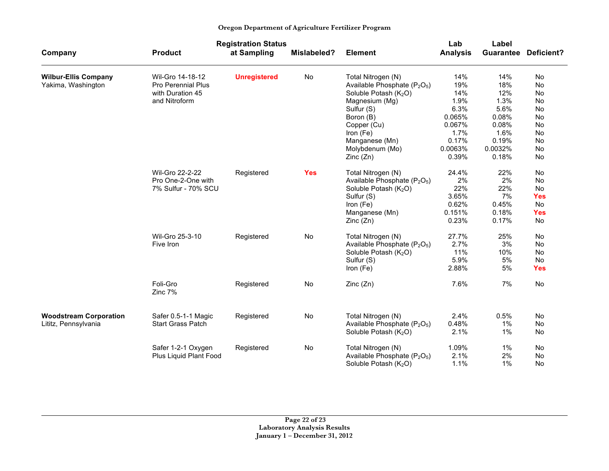|  | Oregon Department of Agriculture Fertilizer Program |  |
|--|-----------------------------------------------------|--|
|  |                                                     |  |

|                               |                           | <b>Registration Status</b> |             |                                                      | Lab             | Label            |            |
|-------------------------------|---------------------------|----------------------------|-------------|------------------------------------------------------|-----------------|------------------|------------|
| Company                       | <b>Product</b>            | at Sampling                | Mislabeled? | <b>Element</b>                                       | <b>Analysis</b> | <b>Guarantee</b> | Deficient? |
| <b>Wilbur-Ellis Company</b>   | Wil-Gro 14-18-12          | <b>Unregistered</b>        | No          | Total Nitrogen (N)                                   | 14%             | 14%              | No         |
| Yakima, Washington            | <b>Pro Perennial Plus</b> |                            |             | Available Phosphate (P <sub>2</sub> O <sub>5</sub> ) | 19%             | 18%              | <b>No</b>  |
|                               | with Duration 45          |                            |             | Soluble Potash (K <sub>2</sub> O)                    | 14%             | 12%              | No         |
|                               | and Nitroform             |                            |             | Magnesium (Mg)                                       | 1.9%            | 1.3%             | No         |
|                               |                           |                            |             | Sulfur (S)                                           | 6.3%            | 5.6%             | No         |
|                               |                           |                            |             | Boron (B)                                            | 0.065%          | 0.08%            | No         |
|                               |                           |                            |             | Copper (Cu)                                          | 0.067%          | 0.08%            | No         |
|                               |                           |                            |             | Iron (Fe)                                            | 1.7%            | 1.6%             | No         |
|                               |                           |                            |             | Manganese (Mn)                                       | 0.17%           | 0.19%            | No         |
|                               |                           |                            |             | Molybdenum (Mo)                                      | 0.0063%         | 0.0032%          | No         |
|                               |                           |                            |             | Zinc(Zn)                                             | 0.39%           | 0.18%            | No         |
|                               | Wil-Gro 22-2-22           | Registered                 | <b>Yes</b>  | Total Nitrogen (N)                                   | 24.4%           | 22%              | No         |
|                               | Pro One-2-One with        |                            |             | Available Phosphate (P <sub>2</sub> O <sub>5</sub> ) | 2%              | 2%               | No         |
|                               | 7% Sulfur - 70% SCU       |                            |             | Soluble Potash $(K_2O)$                              | 22%             | 22%              | No         |
|                               |                           |                            |             | Sulfur (S)                                           | 3.65%           | 7%               | <b>Yes</b> |
|                               |                           |                            |             | Iron (Fe)                                            | 0.62%           | 0.45%            | <b>No</b>  |
|                               |                           |                            |             | Manganese (Mn)                                       | 0.151%          | 0.18%            | <b>Yes</b> |
|                               |                           |                            |             | Zinc(Zn)                                             | 0.23%           | 0.17%            | <b>No</b>  |
|                               | Wil-Gro 25-3-10           | Registered                 | No          | Total Nitrogen (N)                                   | 27.7%           | 25%              | No         |
|                               | Five Iron                 |                            |             | Available Phosphate (P <sub>2</sub> O <sub>5</sub> ) | 2.7%            | 3%               | No         |
|                               |                           |                            |             | Soluble Potash (K <sub>2</sub> O)                    | 11%             | 10%              | <b>No</b>  |
|                               |                           |                            |             | Sulfur (S)                                           | 5.9%            | 5%               | No         |
|                               |                           |                            |             | Iron (Fe)                                            | 2.88%           | 5%               | <b>Yes</b> |
|                               | Foli-Gro<br>Zinc 7%       | Registered                 | No          | Zinc (Zn)                                            | 7.6%            | 7%               | No         |
| <b>Woodstream Corporation</b> | Safer 0.5-1-1 Magic       | Registered                 | No          | Total Nitrogen (N)                                   | 2.4%            | 0.5%             | No         |
| Lititz, Pennsylvania          | <b>Start Grass Patch</b>  |                            |             | Available Phosphate (P <sub>2</sub> O <sub>5</sub> ) | 0.48%           | $1\%$            | No         |
|                               |                           |                            |             | Soluble Potash (K <sub>2</sub> O)                    | 2.1%            | $1\%$            | No         |
|                               | Safer 1-2-1 Oxygen        |                            | No          |                                                      | 1.09%           | $1\%$            | No         |
|                               | Plus Liquid Plant Food    | Registered                 |             | Total Nitrogen (N)<br>Available Phosphate $(P_2O_5)$ | 2.1%            | 2%               | No         |
|                               |                           |                            |             |                                                      | 1.1%            | $1\%$            | No         |
|                               |                           |                            |             | Soluble Potash (K <sub>2</sub> O)                    |                 |                  |            |